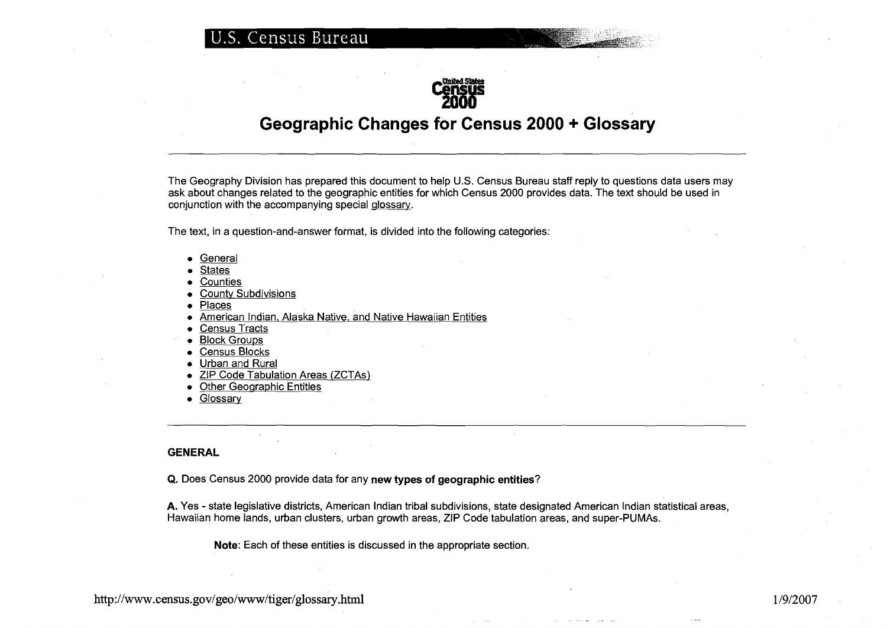

# **Geographic Changes for Census 2000** + **Glossary**

The Geography Division has prepared this document to help U.S. Census Bureau staff reply to questions data users may ask about changes related to the geographic entities for which Census 2000 provides data. The text should be used in conjunction with the accompanying special glossarv.

The text, in a question-and-answer format, is divided into the following categories:

- General
- States
- Counties
- County Subdivisions
- Places
- American Indian, Alaska Native, and Native Hawaiian Entities
- Census Tracts
- $\bullet$  Block Groups
- Census Blocks
- Urban and Rural
- ZIP Code Tabulation Areas (ZCTAs)
- Other Geographic Entities
- Glossary

#### **GENERAL**

**Q.** Does Census 2000 provide data for any **new types of geographic entities?** 

**A.** Yes - state legislative districts, American Indian tribal subdivisions, state designated American Indian statistical areas, Hawaiian home lands, urban clusters, urban growth areas, ZIP Code tabulation areas, and super-PUMAS.

**Note:** Each of these entities is discussed in the appropriate section.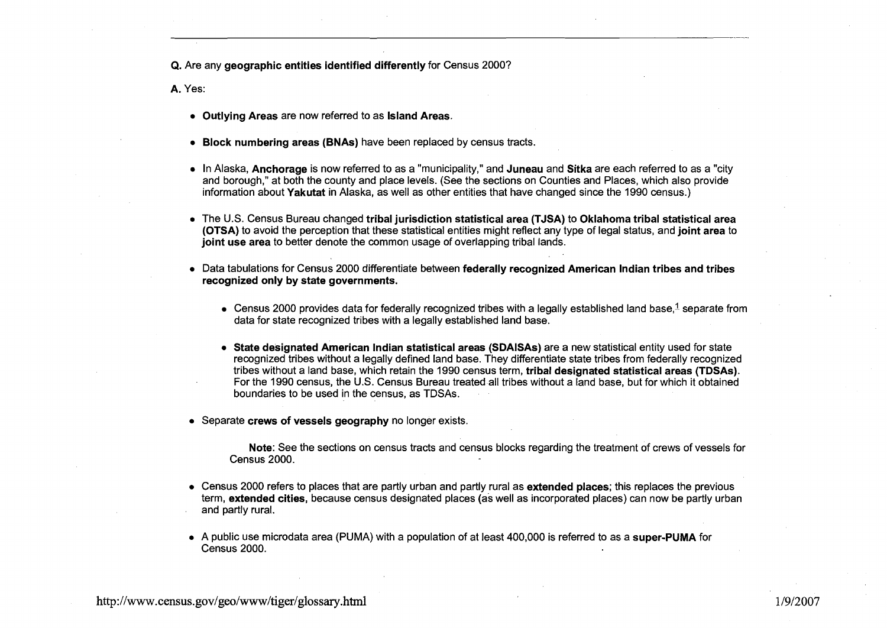Q. Are any geographic entities identified differently for Census 2000?

A. Yes:

- Outlying Areas are now referred to as Island Areas.
- Block numbering areas (BNAs) have been replaced by census tracts.
- In Alaska, Anchorage is now referred to as a "municipality," and Juneau and Sitka are each referred to as a "city and borough," at both the county and place levels. (See the sections on Counties and Places, which also provide information about Yakutat in Alaska, as well as other entities that have changed since the 1990 census.)
- The U.S. Census Bureau changed tribal jurisdiction statistical area (TJSA) to Oklahoma tribal statistical area (OTSA) to avoid the perception that these statistical entities might reflect any type of legal status, and joint area to joint use area to better denote the common usage of overlapping tribal lands.
- Data tabulations for Census 2000 differentiate between federally recognized American Indian tribes and tribes recognized only by state governments.
	- Census 2000 provides data for federally recognized tribes with a legally established land base, $\frac{1}{2}$  separate from data for state recognized tribes with a legally established land base.
	- State designated American Indian statistical areas (SDAISAs) are a new statistical entity used for state recognized tribes without a legally defined land base. They differentiate state tribes from federally recognized tribes without a land base, which retain the 1990 census term, tribal designated statistical areas (TDSAs). For the 1990 census, the U.S. Census Bureau treated all tribes without a land base, but for which it obtained boundaries to be used in the census, as TDSAs.
- Separate crews of vessels geography no longer exists.

Note: See the sections on census tracts and census blocks regarding the treatment of crews of vessels for Census 2000.

- Census 2000 refers to places that are partly urban and partly rural as **extended places**; this replaces the previous term, extended cities, because census designated places (as well as incorporated places) can now be partly urban and partly rural.
- A public use microdata area (PUMA) with a population of at least 400,000 is referred to as a super-PUMA for Census 2000.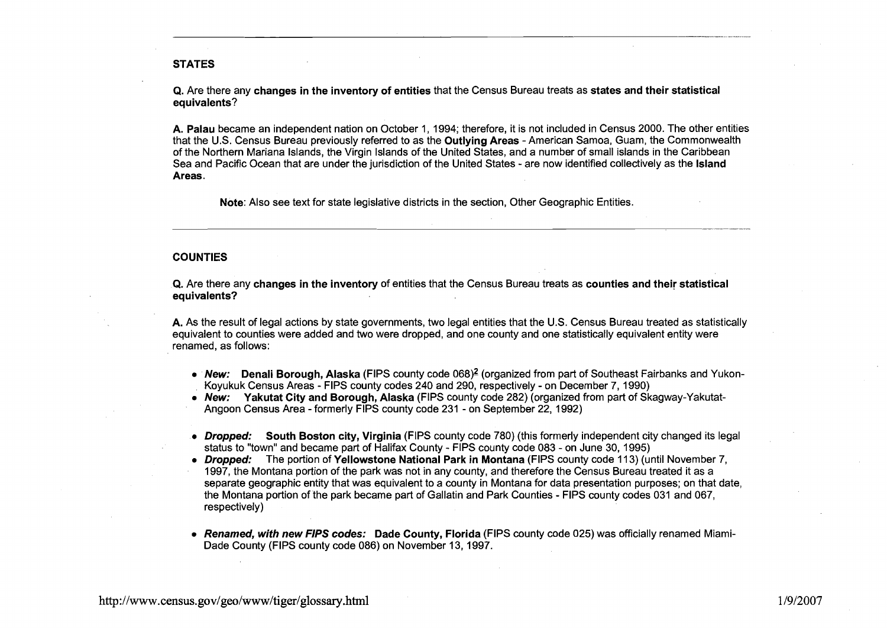# **STATES**

**Q.** Are there any **changes in the inventory of entities** that the Census Bureau treats as **states and their statistical equivalents?** 

**A. Palau** became an independent nation on October 1, 1994; therefore, it is not included in Census 2000. The other entities that the U.S. Census Bureau previously referred to as the **Outlying Areas** - American Samoa, Guam, the Commonwealth of the Northern Mariana Islands, the Virgin Islands of the United States, and a number of small islands in the Caribbean Sea and Pacific Ocean that are under the jurisdiction of the United States - are now identified collectively as the **Island Areas.** 

**Note:** Also see text for state legislative districts in the section, Other Geographic Entities.

#### **COUNTIES**

**Q.** Are there any **changes in the inventory** of entities that the Census Bureau treats as **counties and their statistical equivalents?** 

**A.** As the result of legal actions by state governments, two legal entities that the U.S. Census Bureau treated as statistically equivalent to counties were added and two were dropped, and one county and one statistically equivalent entity were renamed, as follows:

- **New: Denali Borough, Alaska (FIPS county code 068)<sup>2</sup> (organized from part of Southeast Fairbanks and Yukon-**Koyukuk Census Areas - FlPS county codes 240 and 290, respectively - on December 7,1990)
- **New: Yakutat City and Borough, Alaska** (FIPS county code 282) (organized from part of Skagway-Yakutat-Angoon Census Area - formerly FlPS county code 231 - on September 22, 1992)
- **Dropped: South Boston city, Virginia** (FIPS county code 780) (this formerly independent city changed its legal status to "town" and became part of Halifax County - FlPS county code 083 - on June 30, 1995)
- **Dropped:** The portion of **Yellowstone National Park in Montana** (FIPS county code 113) (until November 7, 1997, the Montana portion of the park was not in any county, and therefore the Census Bureau treated it as a separate geographic entity that was equivalent to a county in Montana for data presentation purposes; on that date, the Montana portion of the park became part of Gallatin and Park Counties - FlPS county codes 031 and 067, respectively)
- **Renamed, with new FIPS codes: Dade County, Florida** (FIPS county code 025) was officially renamed Miami-Dade County (FIPS county code 086) on November 13,1997.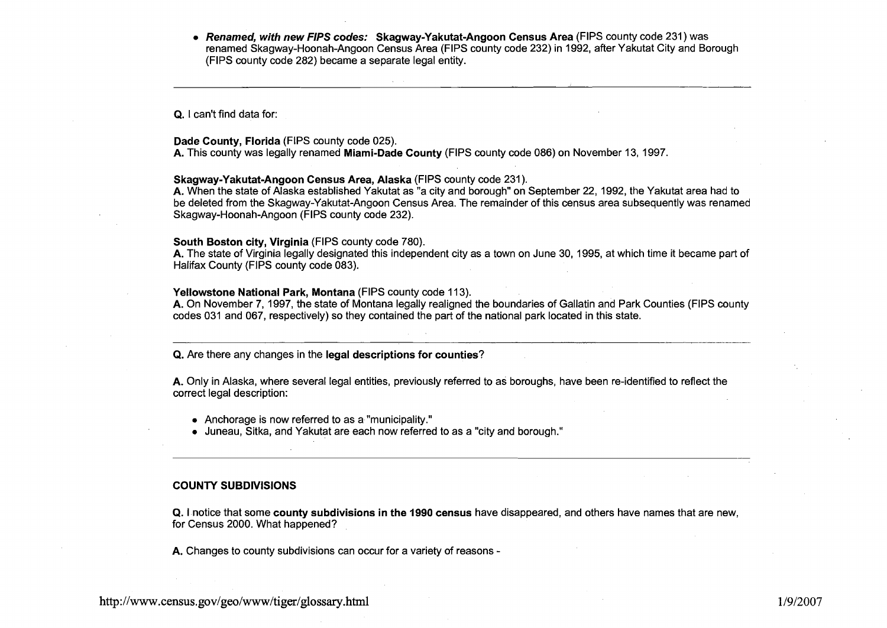**Renamed, with new FIPS codes: Skagway-Yakutat-Angoon Census Area** (FIPS county code 231) was renamed Skagway-Hoonah-Angoon Census Area (FIPS county code 232) in 1992, after Yakutat City and Borough (FIPS county code 282) became a separate legal entity.

**Q.** I can't find data for:

# **Dade County, Florida** (FIPS county code 025).

**A.** This county was legally renamed **Miami-Dade County** (FIPS county code 086) on November 13, 1997

### **Skagway-Yakutat-Angoon Census Area, Alaska** (FIPS county code 231 ).

**A.** When the state of Alaska established Yakutat as "a city and borough" on September 22, 1992, the Yakutat area had to be deleted from the Skagway-Yakutat-Angoon Census Area. The remainder of this census area subsequently was renamed Skagway-Hoonah-Angoon (FIPS county code 232).

#### **South Boston city, Virginia** (FIPS county code 780).

**A.** The state of Virginia legally designated this independent city as a town on June 30, 1995, at which time it became part of Halifax County (FIPS county code 083).

### **Yellowstone National Park, Montana (FIPS county code 113).**

**A.** On November 7, 1997, the state of Montana legally realigned the boundaries of Gallatin and Park Counties (FIPS county codes 031 and 067, respectively) so they contained the part of the national park located in this state.

# **Q.** Are there any changes in the **legal descriptions for counties?**

**A.** Only in Alaska, where several legal entities, previously referred to as boroughs, have been re-identified to reflect the correct legal description:

- Anchorage is now referred to as a "municipality."
- Juneau, Sitka, and Yakutat are each now referred to as a "city and borough."

#### **COUNTY SUBDIVISIONS**

**Q.** I notice that some **county subdivisions in the 1990 census** have disappeared, and others have names that are new, for Census 2000. What happened?

**A.** Changes to county subdivisions can occur for a variety of reasons -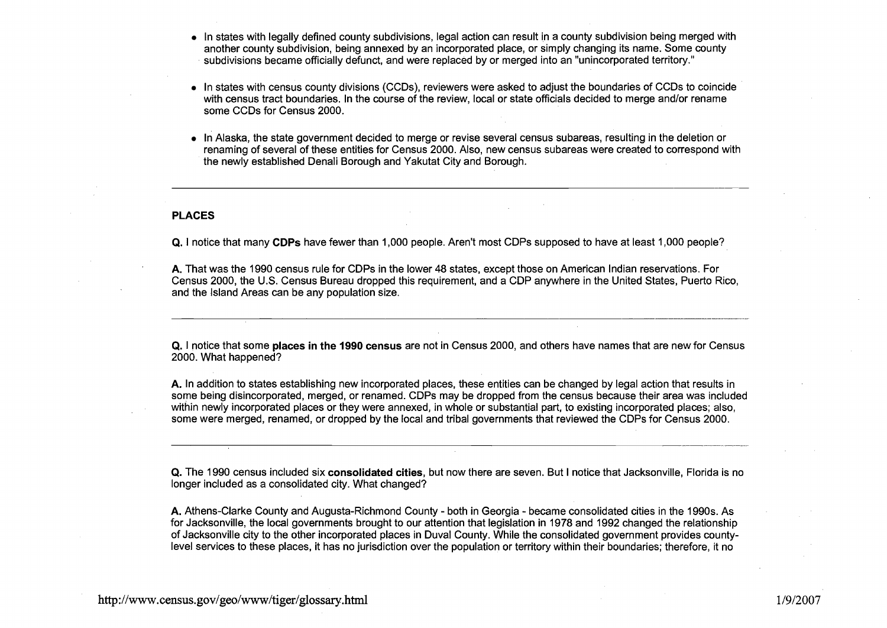- In states with legally defined county subdivisions, legal action can result in a county subdivision being merged with another county subdivision, being annexed by an incorporated place, or simply changing its name. Some county subdivisions became officially defunct, and were replaced by or merged into an "unincorporated territory."
- In states with census county divisions (CCDs), reviewers were asked to adjust the boundaries of CCDs to coincide with census tract boundaries. In the course of the review, local or state officials decided to merge and/or rename some CCDs for Census 2000.
- In Alaska, the state government decided to merge or revise several census subareas, resulting in the deletion or renaming of several of these entities for Census 2000. Also, new census subareas were created to correspond with the newly established Denali Borough and Yakutat City and Borough.

# PLACES

**Q.** I notice that many CDPs have fewer than 1,000 people. Aren't most CDPs supposed to have at least 1,000 people?

A. That was the 1990 census rule for CDPs in the lower 48 states, except those on American Indian reservations. For Census 2000, the U.S. Census Bureau dropped this requirement, and a CDP anywhere in the United States, Puerto Rico, and the Island Areas can be any population size.

**Q.** I notice that some places in the **1990** census are not in Census 2000, and others have names that are new for Census 2000. What happened?

A. In addition to states establishing new incorporated places, these entities can be changed by legal action that results in some being disincorporated, merged, or renamed. CDPs may be dropped from the census because their area was included within newly incorporated places or they were annexed, in whole or substantial part, to existing incorporated places; also, some were merged, renamed, or dropped by the local and tribal governments that reviewed the CDPs for Census 2000.

**Q.** The 1990 census included six consolidated cities, but now there are seven. But I notice that Jacksonville, Florida is no longer included as a consolidated city. What changed?

A. Athens-Clarke County and Augusta-Richmond County - both in Georgia - became consolidated cities in the 1990s. As for Jacksonville, the local governments brought to our attention that legislation in 1978 and 1992 changed the relationship of Jacksonville city to the other incorporated places in Duval County. While the consolidated government provides countylevel services to these places, it has no jurisdiction over the population or territory within their boundaries; therefore, it no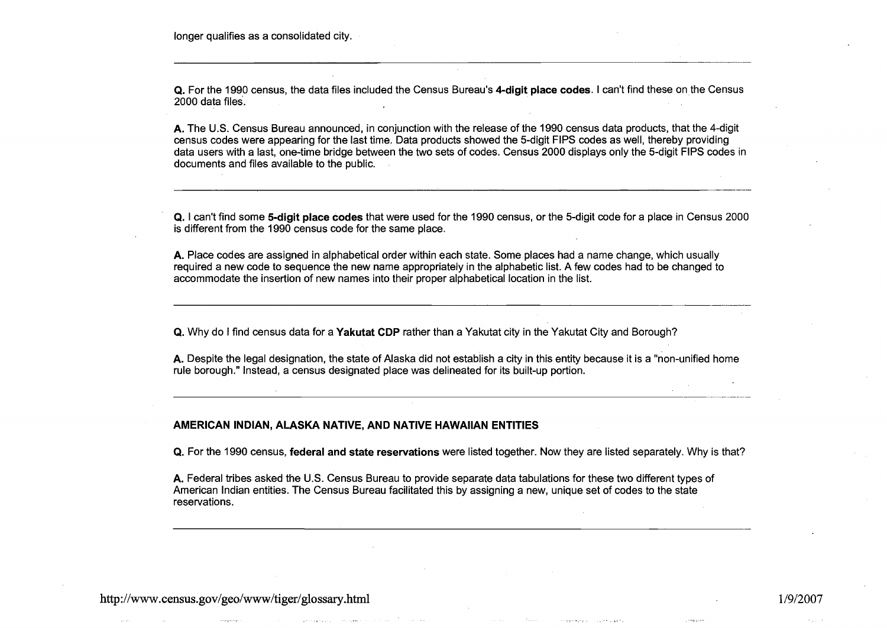longer qualifies as a consolidated city.

**Q.** For the 1990 census, the data files included the Census Bureau's **4-digit place codes.** I can't find these on the Census 2000 data files.

**A.** The U.S. Census Bureau announced, in conjunction with the release of the 1990 census data products, that the 4-digit census codes were appearing for the last time. Data products showed the 5-digit FlPS codes as well, thereby providing data users with a last, one-time bridge between the two sets of codes. Census 2000 displays only the 5-digit FlPS codes in documents and files available to the public.

**Q.** I can't find some **5-digit place codes** that were used for the 1990 census, or the 5-digit code for a place in Census 2000 is different from the 1990 census code for the same place.

**A.** Place codes are assigned in alphabetical order within each state. Some places had a name change, which usually required a new code to sequence the new name appropriately in the alphabetic list. A few codes had to be changed to accommodate the insertion of new names into their proper alphabetical location in the list.

**Q.** Why do I find census data for a **Yakutat CDP** rather than a Yakutat city in the Yakutat City and Borough?

**A.** Despite the legal designation, the state of Alaska did not establish a city in this entity because it is a "non-unified home rule borough." Instead, a census designated place was delineated for its built-up portion.

# **AMERICAN INDIAN, ALASKA NATIVE, AND NATIVE HAWAIIAN ENTITIES**

**Q.** For the 1990 census, **federal and state reservations** were listed together. Now they are listed separately. Why is that?

1/9/2007

للمردو وللدان

**A.** Federal tribes asked the U.S. Census Bureau to provide separate data tabulations for these two different types of American Indian entities. The Census Bureau facilitated this by assigning a new, unique set of codes to the state reservations.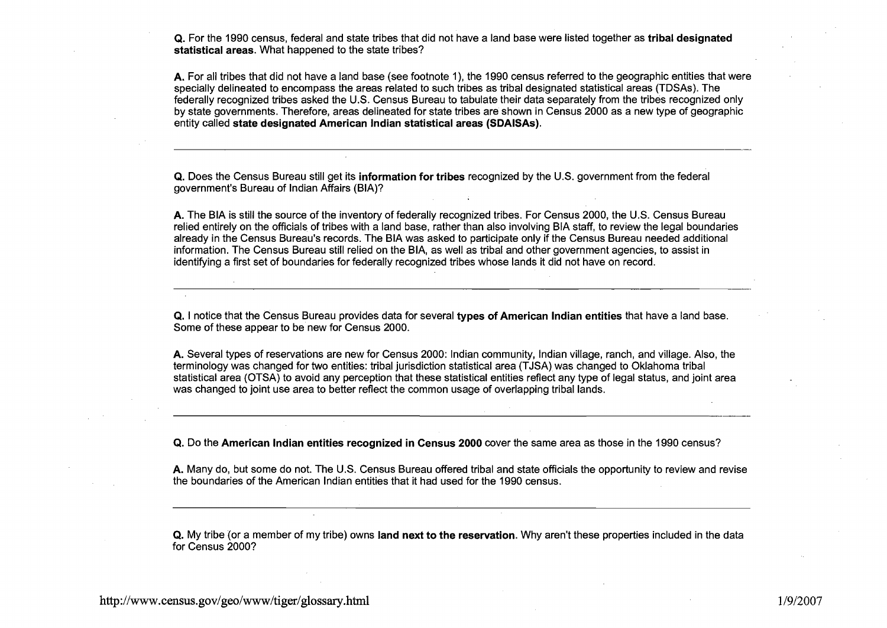**Q.** For the 1990 census, federal and state tribes that did not have a land base were listed together as **tribal designated statistical areas.** What happened to the state tribes?

**A.** For all tribes that did not have a land base (see footnote I), the 1990 census referred to the geographic entities that were specially delineated to encompass the areas related to such tribes as tribal designated statistical areas (TDSAs). The federally recognized tribes asked the U.S. Census Bureau to tabulate their data separately from the tribes recognized only by state governments. Therefore, areas delineated for state tribes are shown in Census 2000 as a new type of geographic entity called **state designated American lndian statistical areas (SDAISAs).** 

**Q.** Does the Census Bureau still get its **information for tribes** recognized by the U.S. government from the federal government's Bureau of lndian Affairs (BIA)?

**A.** The BIA is still the source of the inventory of federally recognized tribes. For Census 2000, the U.S. Census Bureau relied entirely on the officials of tribes with a land base, rather than also involving BIA staff, to review the legal boundaries already in the Census Bureau's records. The BIA was asked to participate only if the Census Bureau needed additional information. The Census Bureau still relied on the BIA, as well as tribal and other government agencies, to assist in identifying a first set of boundaries for federally recognized tribes whose lands it did not have on record.

**Q.** I notice that the Census Bureau provides data for several **types of American lndian entities** that have a land base. Some of these appear to be new for Census 2000.

**A.** Several types of reservations are new for Census 2000: lndian community, lndian village, ranch, and village. Also, the terminology was changed for two entities: tribal jurisdiction statistical area (TJSA) was changed to Oklahoma tribal statistical area (OTSA) to avoid any perception that these statistical entities reflect any type of legal status, and joint area was changed to joint use area to better reflect the common usage of overlapping tribal lands.

**Q.** Do the **American lndian entities recognized in Census 2000** cover the same area as those in the 1990 census?

**A.** Many do, but some do not. The U.S. Census Bureau offered tribal and state officials the opportunity to review and revise the boundaries of the American lndian entities that it had used for the 1990 census.

**Q.** My tribe (or a member of my tribe) owns **land next to the reservation.** Why aren't these properties included in the data for Census 2000?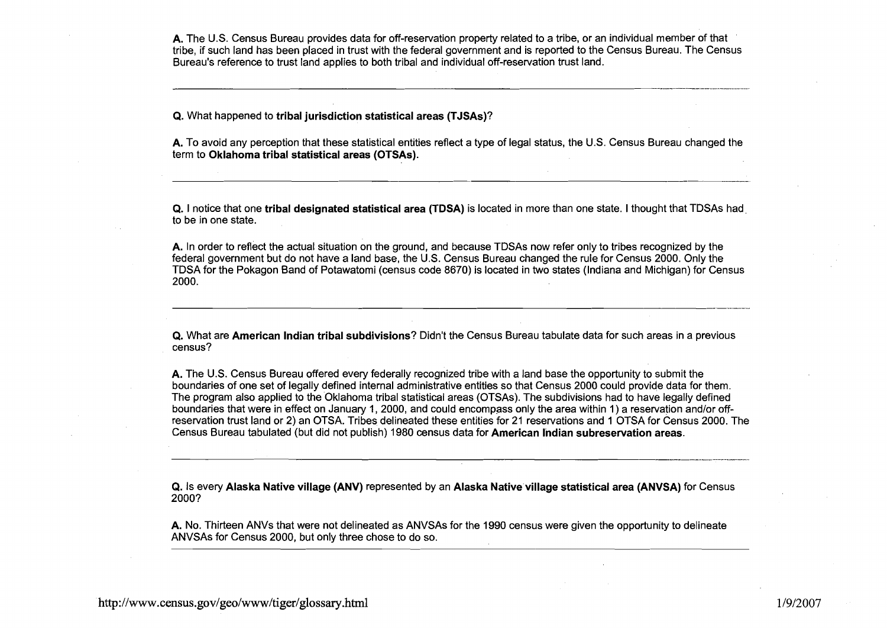**A.** The U.S. Census Bureau provides data for off-reservation property related to a tribe, or an individual member of that tribe, if such land has been placed in trust with the federal government and is reported to the Census Bureau. The Census Bureau's reference to trust land applies to both tribal and individual off-reservation trust land.

**Q.** What happened to **tribal jurisdiction statistical areas (TJSAs)?** 

**A.** To avoid any perception that these statistical entities reflect a type of legal status, the U.S. Census Bureau changed the term to **Oklahoma tribal statistical areas (OTSAs).** 

**Q.** I notice that one **tribal designated statistical area (TDSA)** is located in more than one state. I thought that TDSAs had to be in one state.

**A.** In order to reflect the actual situation on the ground, and because TDSAs now refer only to tribes recognized by the federal government but do not have a land base, the U.S. Census Bureau changed the rule for Census 2000. Only the TDSA for the Pokagon Band of Potawatomi (census code 8670) is located in two states (Indiana and Michigan) for Census 2000.

**Q.** What are **American Indian tribal subdivisions?** Didn't the Census Bureau tabulate data for such areas in a previous census?

**A.** The U.S. Census Bureau offered every federally recognized tribe with a land base the opportunity to submit the boundaries of one set of legally defined internal administrative entities so that Census 2000 could provide data for them. The program also applied to the Oklahoma tribal statistical areas (OTSAs). The subdivisions had to have legally defined boundaries that were in effect on January 1, 2000, and could encompass only the area within 1 ) a reservation andlor offreservation trust land or 2) an OTSA. Tribes delineated these entities for 21 reservations and 1 OTSA for Census 2000. The Census Bureau tabulated (but did not publish) 1980 census data for **American Indian subresewation areas.** 

**Q.** Is every **Alaska Native village (ANV)** represented by an **Alaska Nativevillage statistical area (ANVSA)** for Census 2000?

**A.** No. Thirteen ANVs that were not delineated as ANVSAs for the 1990 census were given the opportunity to delineate ANVSAs for Census 2000, but only three chose to do so.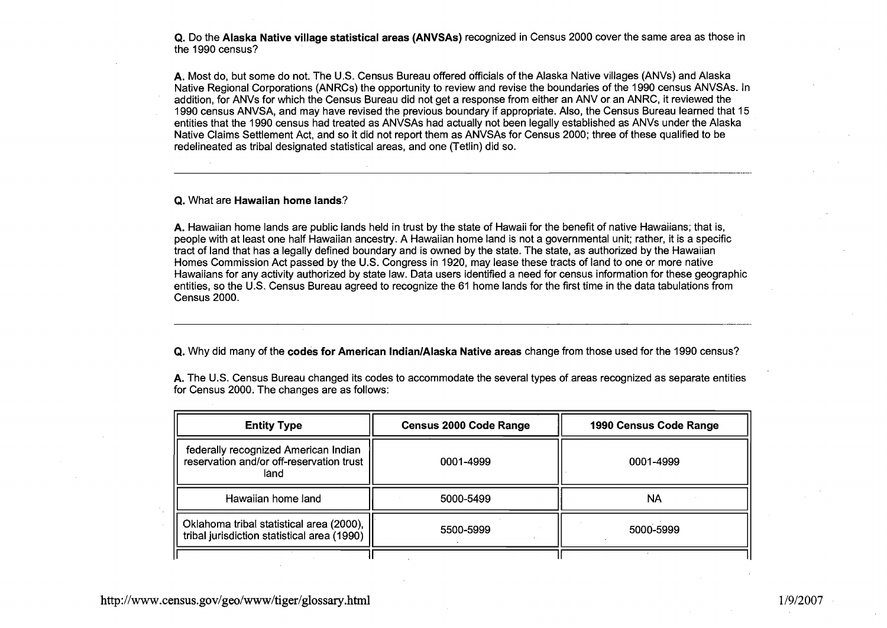**Q.** Do the **Alaska Native village statistical areas (ANVSAs)** recognized in Census 2000 cover the same area as those in the 1990 census?

**A.** Most do, but some do not. The U.S. Census Bureau offered officials of the Alaska Native villages (ANVs) and Alaska Native Regional Corporations (ANRCs) the opportunity to review and revise the boundaries of the 1990 census ANVSAs. In addition, for ANVs for which the Census Bureau did not get a response from either an ANV or an ANRC, it reviewed the 1990 census ANVSA, and may have revised the previous boundary if appropriate. Also, the Census Bureau learned that 15 entities that the 1990 census had treated as ANVSAs had actually not been legally established as ANVs under the Alaska Native Claims Settlement Act, and so it did not report them as ANVSAs for Census 2000; three of these qualified to be redelineated as tribal designated statistical areas, and one (Tetlin) did so.

#### **Q.** What are **Hawaiian home lands?**

**A.** Hawaiian home lands are public lands held in trust by the state of Hawaii for the benefit of native Hawaiians; that is, people with at least one half Hawaiian ancestry. A Hawaiian home land is not a governmental unit; rather, it is a specific tract of land that has a legally defined boundary and is owned by the state. The state, as authorized by the Hawaiian Homes Commission Act passed by the U.S. Congress in 1920, may lease these tracts of land to one or more native Hawaiians for any activity authorized by state law. Data users identified a need for census information for these geographic entities, so the U.S. Census Bureau agreed to recognize the 61 home lands for the first time in the data tabulations from Census 2000.

**Q.** Why did many of the **codes for American IndianlAlaska Native areas** change from those used for the 1990 census?

**A.** The U.S. Census Bureau changed its codes to accommodate the several types of areas recognized as separate entities for Census 2000. The changes are as follows:

| <b>Entity Type</b>                                                                       | <b>Census 2000 Code Range</b> | 1990 Census Code Range |
|------------------------------------------------------------------------------------------|-------------------------------|------------------------|
| federally recognized American Indian<br>reservation and/or off-reservation trust<br>land | 0001-4999                     | 0001-4999              |
| Hawaiian home land                                                                       | 5000-5499                     | NA                     |
| Oklahoma tribal statistical area (2000),<br>tribal jurisdiction statistical area (1990)  | 5500-5999                     | 5000-5999              |
|                                                                                          |                               |                        |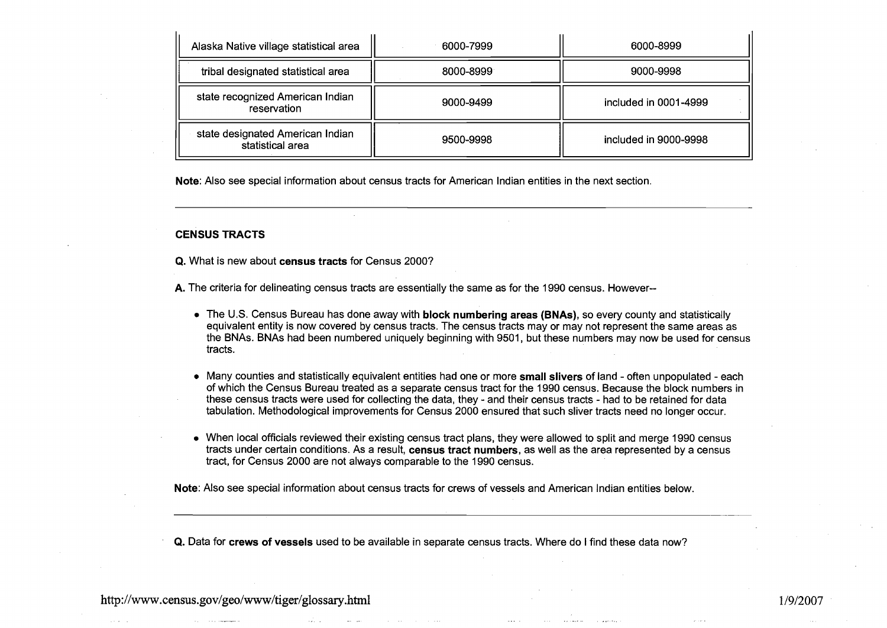| Alaska Native village statistical area               | 6000-7999 | 6000-8999             |
|------------------------------------------------------|-----------|-----------------------|
| tribal designated statistical area                   | 8000-8999 | 9000-9998             |
| state recognized American Indian<br>reservation      | 9000-9499 | included in 0001-4999 |
| state designated American Indian<br>statistical area | 9500-9998 | included in 9000-9998 |

Note: Also see special information about census tracts for American lndian entities in the next section.

# CENSUS TRACTS

**Q.** What is new about census tracts for Census 2000?

A. The criteria for delineating census tracts are essentially the same as for the 1990 census. However--

- The U.S. Census Bureau has done away with block numbering areas (BNAs), so every county and statistically equivalent entity is now covered by census tracts. The census tracts may or may not represent the same areas as the BNAs. BNAs had been numbered uniquely beginning with 9501, but these numbers may now be used for census tracts.
- Many counties and statistically equivalent entities had one or more small slivers of land often unpopulated each of which the Census Bureau treated as a separate census tract for the 1990 census. Because the block numbers in these census tracts were used for collecting the data, they - and their census tracts - had to be retained for data tabulation. Methodological improvements for Census 2000 ensured that such sliver tracts need no longer occur.
- When local officials reviewed their existing census tract plans, they were allowed to split and merge 1990 census tracts under certain conditions. As a result, census tract numbers, as well as the area represented by a census tract, for Census 2000 are not always comparable to the 1990 census.

Note: Also see special information about census tracts for crews of vessels and American lndian entities below.

Q. Data for crews of vessels used to be available in separate census tracts. Where do I find these data now?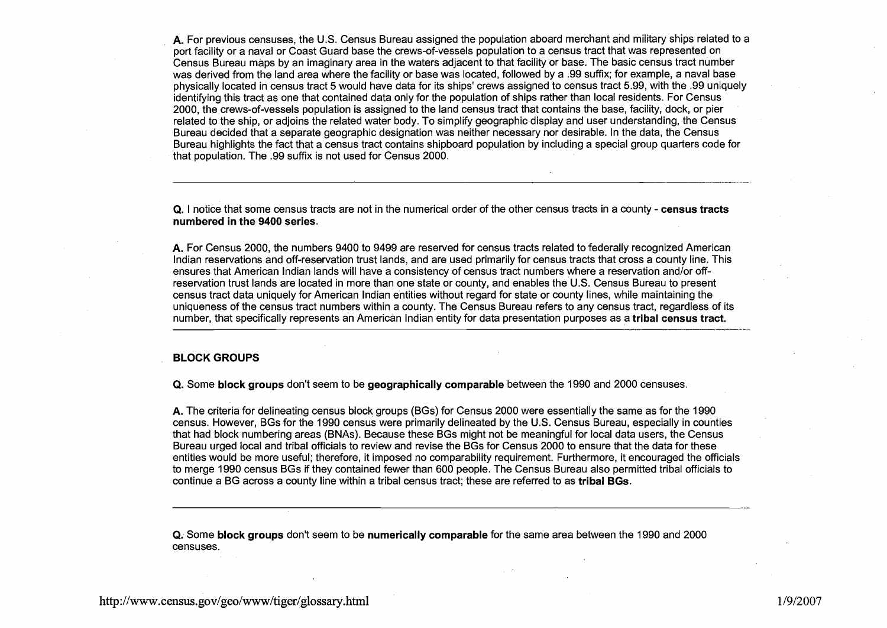**A.** For previous censuses, the U.S. Census Bureau assigned the population aboard merchant and military ships related to a port facility or a naval or Coast Guard base the crews-of-vessels population to a census tract that was represented on Census Bureau maps by an imaginary area in the waters adjacent to that facility or base. The basic census tract number was derived from the land area where the facility or base was located, followed by a .99 suffix; for example, a naval base physically located in census tract 5 would have data for its ships' crews assigned to census tract 5.99, with the .99 uniquely identifying this tract as one that contained data only for the population of ships rather than local residents. For Census 2000, the crews-of-vessels population is assigned to the land census tract that contains the base, facility, dock, or pier related to the ship, or adjoins the related water body. To simplify geographic display and user understanding, the Census Bureau decided that a separate geographic designation was neither necessary nor desirable. In the data, the Census Bureau highlights the fact that a census tract contains shipboard population by including a special group quarters code for that population. The .99 suffix is not used for Census 2000.

**Q.** I notice that some census tracts are not in the numerical order of the other census tracts in a county - **census tracts numbered in the 9400 series.** 

**A.** For Census 2000, the numbers 9400 to 9499 are reserved for census tracts related to federally recognized American lndian reservations and off-reservation trust lands, and are used primarily for census tracts that cross a county line. This ensures that American lndian lands will have a consistency of census tract numbers where a reservation and/or offreservation trust lands are located in more than one state or county, and enables the U.S. Census Bureau to present census tract data uniquely for American lndian entities without regard for state or county lines, while maintaining the uniqueness of the census tract numbers within a county. The Census Bureau refers to any census tract, regardless of its number, that specifically represents an American lndian entity for data presentation purposes as a **tribal census tract.** 

### **BLOCK GROUPS**

**Q.** Some **block groups** don't seem to be **geographically comparable** between the 1990 and 2000 censuses.

**A.** The criteria for delineating census block groups (BGs) for Census 2000 were essentially the same as for the 1990 census. However, BGs for the 1990 census were primarily delineated by the U.S. Census Bureau, especially in counties that had block numbering areas (BNAs). Because these BGs might not be meaningful for local data users, the Census Bureau urged local and tribal officials to review and revise the BGs for Census 2000 to ensure that the data for these entities would be more useful; therefore, it imposed no comparability requirement. Furthermore, it encouraged the officials to merge 1990 census BGs if they contained fewer than 600 people. The Census Bureau also permitted tribal officials to continue a BG across a county line within a tribal census tract; these are referred to as **tribal BGs.** 

**Q.** Some **block groups** don't seem to be **numerically comparable** for the same area between the 1990 and 2000 censuses.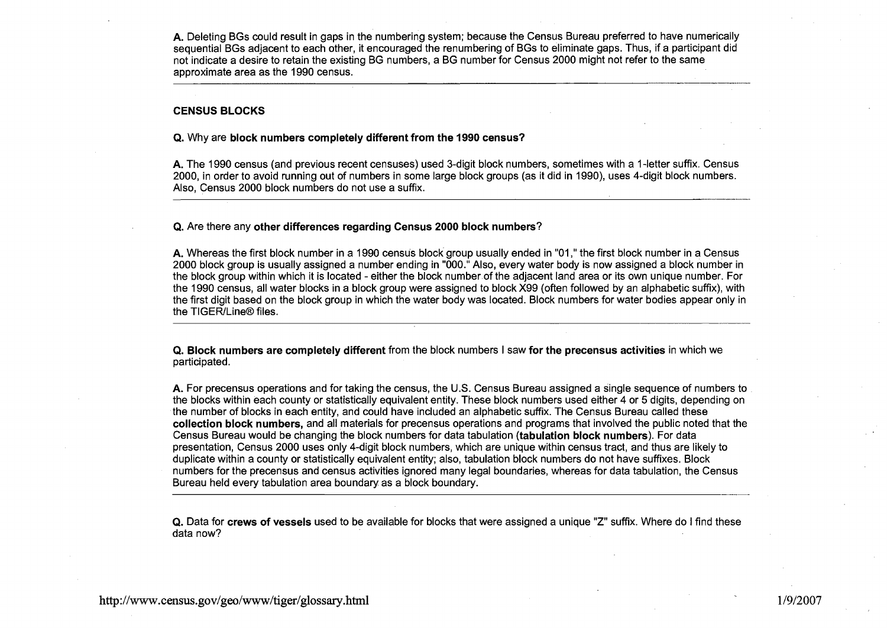**A.** Deleting BGs could result in gaps in the numbering system; because the Census Bureau preferred to have numerically sequential BGs adjacent to each other, it encouraged the renumbering of BGs to eliminate gaps. Thus, if a participant did not indicate a desire to retain the existing BG numbers, a BG number for Census 2000 might not refer to the same A. Determing DOS could result in gaps in the numbering system, because the ochists Dureau preferred to have numerican<br>sequential BGs adjacent to each other, it encouraged the renumbering of BGs to eliminate gaps. Thus, if

# CENSUS BLOCKS

# **Q.** Why are block numbers completely different from the **1990** census?

**A.** The 1990 census (and previous recent censuses) used 3-digit block numbers, sometimes with a 1-letter suffix. Census 2000, in order to avoid running out of numbers in some large block groups (as it did in 1990), uses 4-digit block numbers. Also, Census 2000 block numbers do not use a suffix.

#### **Q.** Are there any other differences regarding Census **2000** block numbers?

**A.** Whereas the first block number in a 1990 census block group usually ended in "01 ," the first block number in a Census 2000 block group is usually assigned a number ending in "000." Also, every water body is now assigned a block number in the block group within which it is located - either the block number of the adjacent land area or its own unique number. For the 1990 census, all water blocks in a block group were assigned to block X99 (often followed by an alphabetic suffix), with the first digit based on the block group in which the water body was located. Block numbers for water bodies appear only in the TIGER/Line® files.

**Q.** Block numbers are completely different from the block numbers I saw for the precensus activities in which we participated.

**A.** For precensus operations and for taking the census, the U.S. Census Bureau assigned a single sequence of numbers to the blocks within each county or statistically equivalent entity. These block numbers used either 4 or 5 digits, depending on the number of blocks in each entity, and could have included an alphabetic suffix. The Census Bureau called these collection block numbers, and all materials for precensus operations and programs that involved the public noted that the Census Bureau would be changing the block numbers for data tabulation (tabulation block numbers). For data presentation, Census 2000 uses only 4-digit block numbers, which are unique within census tract, and thus are likely to duplicate within a county or statistically equivalent entity; also, tabulation block numbers do not have suffixes. Block numbers for the precensus and census activities ignored many legal boundaries, whereas for data tabulation, the Census Bureau held every tabulation area boundary as a block boundary.

**Q.** Data for crews of vessels used to be available for blocks that were assigned a unique "Z" suffix. Where do I find these data now?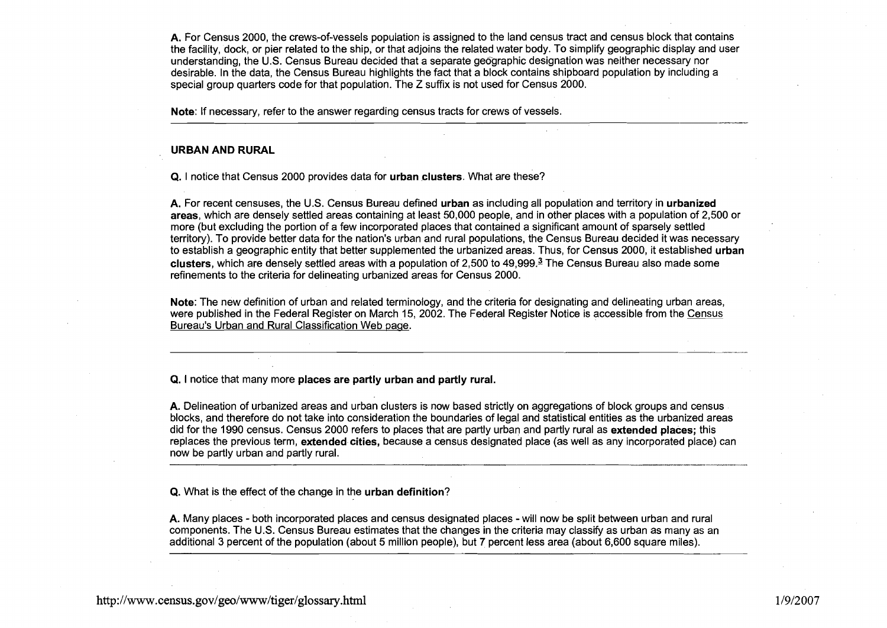**A.** For Census 2000, the crews-of-vessels population is assigned to the land census tract and census block that contains the facility, dock, or pier related to the ship, or that adjoins the related water body. To simplify geographic display and user understanding, the U.S. Census Bureau decided that a separate geographic designation was neither necessary nor desirable. In the data, the Census Bureau highlights the fact that a block contains shipboard population by including a special group quarters code for that population. The Z suffix is not used for Census 2000.

**Note:** If necessary, refer to the answer regarding census tracts for crews of vessels.

#### **URBAN AND RURAL**

**Q.** I notice that Census 2000 provides data for **urban clusters.** What are these?

**A.** For recent censuses, the U.S. Census Bureau defined **urban** as including all population and territory in **urbanized areas,** which are densely settled areas containing at least 50,000 people, and in other places with a population of 2,500 or more (but excluding the portion of a few incorporated places that contained a significant amount of sparsely settled territory). To provide better data for the nation's urban and rural populations, the Census Bureau decided it was necessary to establish a geographic entity that better supplemented the urbanized areas. Thus, for Census 2000, it established **urban clusters,** which are densely settled areas with a population of 2,500 to 49,999.3 The Census Bureau also made some refinements to the criteria for delineating urbanized areas for Census 2000.

**Note:** The new definition of urban and related terminology, and the criteria for designating and delineating urban areas, were published in the Federal Register on March 15, 2002. The Federal Register Notice is accessible from the Census Bureau's Urban and Rural Classification Web page.

**Q.** I notice that many more **places are partly urban and partly rural.** 

**A.** Delineation of urbanized areas and urban clusters is now based strictly on aggregations of block groups and census blocks, and therefore do not take into consideration the boundaries of legal and statistical entities as the urbanized areas did for the 1990 census. Census 2000 refers to places that are partly urban and partly rural as **extended places;** this replaces the previous term, **extended cities,** because a census designated place (as well as any incorporated place) can now be partly urban and partly rural.

**Q.** What is the effect of the change in the **urban definition?** 

**A.** Many places - both incorporated places and census designated places -will now be split between urban and rural components. The U.S. Census Bureau estimates that the changes in the criteria may classify as urban as many as an additional 3 percent of the population (about 5 million people), but 7 percent less area (about 6,600 square miles).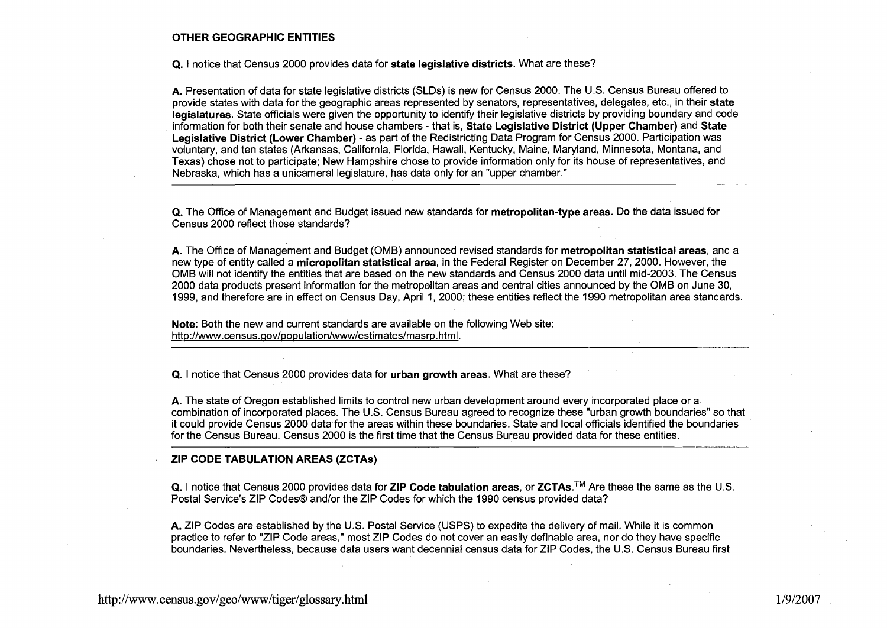#### **OTHER GEOGRAPHIC ENTITIES**

**Q.** I notice that Census 2000 provides data for **state legislative districts.** What are these?

**A.** Presentation of data for state legislative districts (SLDs) is new for Census 2000. The U.S. Census Bureau offered to provide states with data for the geographic areas represented by senators, representatives, delegates, etc., in their **state legislatures.** State officials were given the opportunity to identify their legislative districts by providing boundary and code information for both their senate and house chambers -that is, **State Legislative District (Upper Chamber)** and **State Legislative District (Lower Chamber)** - as part of the Redistricting Data Program for Census 2000. Participation was voluntary, and ten states (Arkansas, California, Florida, Hawaii, Kentucky, Maine, Maryland, Minnesota, Montana, and Texas) chose not to participate; New Hampshire chose to provide information only for its house of representatives, and Nebraska, which has a unicameral legislature, has data only for an "upper chamber."

**Q.** The Office of Management and Budget issued new standards for **metropolitan-type areas.** Do the data issued for Census 2000 reflect those standards?

**A.** The Office of Management and Budget (OMB) announced revised standards for **metropolitan statistical areas,** and a new type of entity called a **micropolitan statistical area,** in the Federal Register on December 27, 2000. However, the OMB will not identify the entities that are based on the new standards and Census 2000 data until mid-2003. The Census 2000 data products present information for the metropolitan areas and central cities announced by the OMB on June 30, 1999, and therefore are in effect on Census Day, April 1, 2000; these entities reflect the 1990 metropolitan area standards.

**Note:** Both the new and current standards are available on the following Web site: http://www.census.gov/population/www/estimates/masrp.html.

**Q.** I notice that Census 2000 provides data for **urban growth areas.** What are these?

**A.** The state of Oregon established limits to control new urban development around every incorporated place or a combination of incorporated places. The U.S. Census Bureau agreed to recognize these "urban growth boundaries" so that it could provide Census 2000 data for the areas within these boundaries. State and local officials identified the boundaries for the Census Bureau. Census 2000 is the first time that the Census Bureau provided data for these entities.

# **ZIP CODE TABULATION AREAS (ZCTAs)**

**Q.** I notice that Census 2000 provides data for ZIP Code tabulation areas, or ZCTAs.<sup>™</sup> Are these the same as the U.S. Postal Service's ZIP Codes@ and/or the ZIP Codes for which the 1990 census provided data?

**A.** ZIP Codes are established by the U.S. Postal Service (USPS) to expedite the delivery of mail. While it is common practice to refer to "ZIP Code areas," most ZIP Codes do not cover an easily definable area, nor do they have specific boundaries. Nevertheless, because data users want decennial census data for ZIP Codes, the U.S. Census Bureau first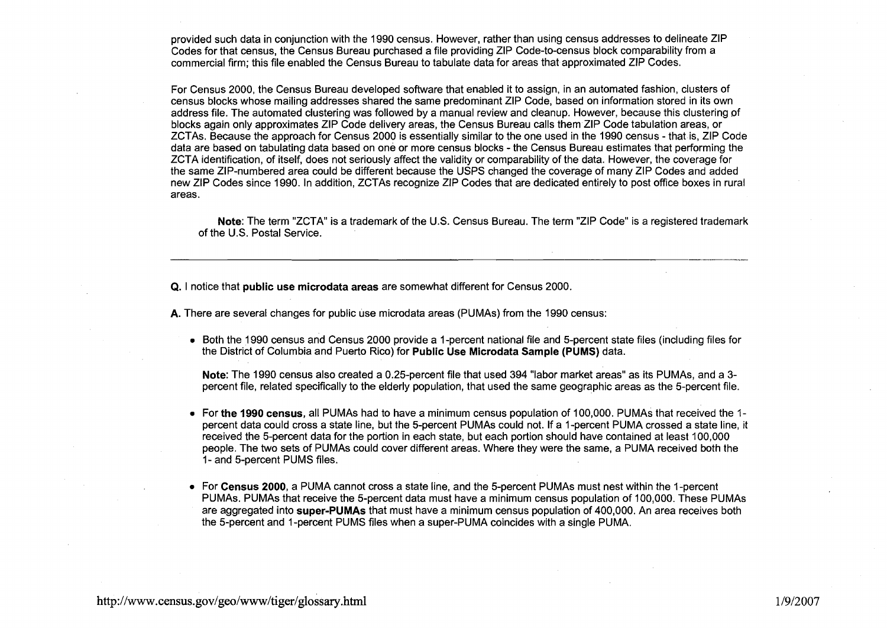provided such data in conjunction with the 1990 census. However, rather than using census addresses to delineate ZIP Codes for that census, the Census Bureau purchased a file providing ZIP Code-to-census block comparability from a commercial firm; this file enabled the Census Bureau to tabulate data for areas that approximated ZIP Codes.

For Census 2000, the Census Bureau developed software that enabled it to assign, in an automated fashion, clusters of census blocks whose mailing addresses shared the same predominant ZIP Code, based on information stored in its own address file. The automated clustering was followed by a manual review and cleanup. However, because this clustering of blocks again only approximates ZIP Code delivery areas, the Census Bureau calls them ZIP Code tabulation areas, or ZCTAs. Because the approach for Census 2000 is essentially similar to the one used in the 1990 census - that is, ZIP Code data are based on tabulating data based on one or more census blocks - the Census Bureau estimates that performing the ZCTA identification, of itself, does not seriously affect the validity or comparability of the data. However, the coverage for the same ZIP-numbered area could be different because the USPS changed the coverage of many ZIP Codes and added new ZIP Codes since 1990. In addition, ZCTAs recognize ZIP Codes that are dedicated entirely to post office boxes in rural areas.

**Note:** The term "ZCTA" is a trademark of the U.S. Census Bureau. The term "ZIP Code" is a registered trademark of the U.S. Postal Service.

**Q.** I notice that **public use microdata areas** are somewhat different for Census 2000.

**A.** There are several changes for public use microdata areas (PUMAs) from the 1990 census:

Both the 1990 census and Census 2000 provide a 1 -percent national file and 5-percent state files (including files for the District of Columbia and Puerto Rico) for **Public Use Microdata Sample (PUMS)** data.

**Note:** The 1990 census also created a 0.25-percent file that used 394 "labor market areas" as its PUMAs, and a 3 percent file, related specifically to the elderly population, that used the same geographic areas as the 5-percent file.

- For **the 1990 census,** all PUMAs had to have a minimum census population of 100,000. PUMAs that received the 1 percent data could cross a state line, but the 5-percent PUMAs could not. If a 1-percent PUMA crossed a state line, it received the 5-percent data for the portion in each state, but each portion should have contained at least 100,000 people. The two sets of PUMAs could cover different areas. Where they were the same, a PUMA received both the 1- and 5-percent PUMS files.
- For **Census 2000,** a PUMA cannot cross a state line, and the 5-percent PUMAs must nest within the I -percent PUMAs. PUMAs that receive the 5-percent data must have a minimum census population of 100,000. These PUMAs are aggregated into **super-PUMAS** that must have a minimum census population of 400,000. An area receives both the 5-percent and 1-percent PUMS files when a super-PUMA coincides with a single PUMA.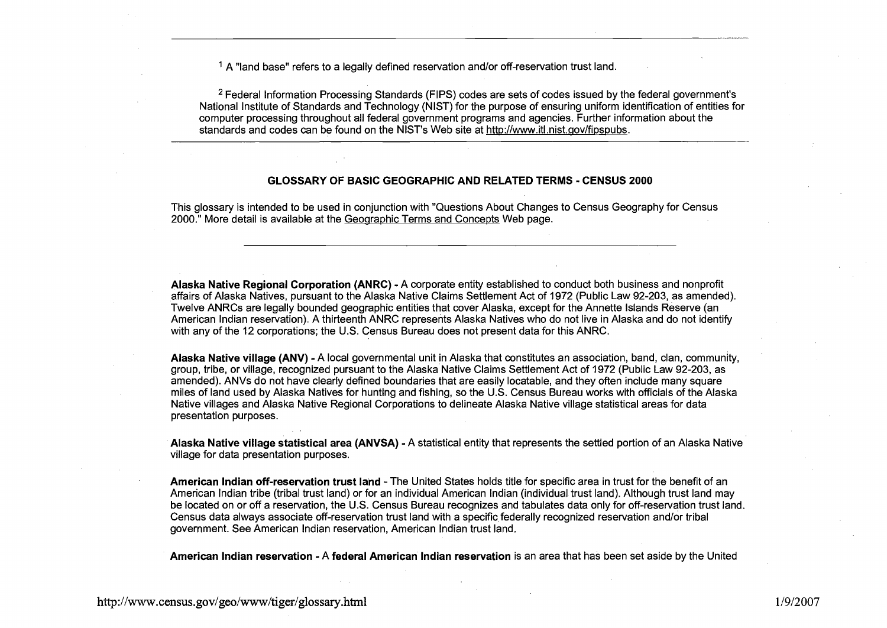$<sup>1</sup>$  A "land base" refers to a legally defined reservation and/or off-reservation trust land.</sup>

<sup>2</sup> Federal Information Processing Standards (FIPS) codes are sets of codes issued by the federal government's National Institute of Standards and Technology (NIST) for the purpose of ensuring uniform identification of entities for computer processing throughout all federal government programs and agencies. Further information about the standards and codes can be found on the NIST's Web site at http://www.itl.nist.gov/fipspubs.

#### **GLOSSARY OF BASIC GEOGRAPHIC AND RELATED TERMS** - **CENSUS 2000**

This glossary is intended to be used in conjunction with "Questions About Changes to Census Geography for Census 2000." More detail is available at the Geographic Terms and Concepts Web page.

**Alaska Native Regional Corporation (ANRC)** - A corporate entity established to conduct both business and nonprofit affairs of Alaska Natives, pursuant to the Alaska Native Claims Settlement Act of 1972 (Public Law 92-203, as amended). Twelve ANRCs are legally bounded geographic entities that cover Alaska, except for the Annette Islands Reserve (an American lndian reservation). A thirteenth ANRC represents Alaska Natives who do not live in Alaska and do not identify with any of the 12 corporations; the U.S. Census Bureau does not present data for this ANRC.

**Alaska Native village (ANV)** - A local governmental unit in Alaska that constitutes an association, band, clan, community, group, tribe, or village, recognized pursuant to the Alaska Native Claims Settlement Act of 1972 (Public Law 92-203, as amended). ANVs do not have clearly defined boundaries that are easily locatable, and they often include many square miles of land used by Alaska Natives for hunting and fishing, so the U.S. Census Bureau works with officials of the Alaska Native villages and Alaska Native Regional Corporations to delineate Alaska Native village statistical areas for data presentation purposes.

**Alaska Native village statistical area (ANVSA)** - A statistical entity that represents the settled portion of an Alaska Native village for data presentation purposes.

**American lndian off-reservation trust land** -The United States holds title for specific area in trust for the benefit of an American lndian tribe (tribal trust land) or for an individual American lndian (individual trust land). Although trust land may be located on or off a reservation, the U.S. Census Bureau recognizes and tabulates data only for off-reservation trust land. Census data always associate off-reservation trust land with a specific federally recognized reservation and/or tribal government. See American lndian reservation, American lndian trust land.

**American lndian reservation** - A **federal American lndian reservation** is an area that has been set aside by the United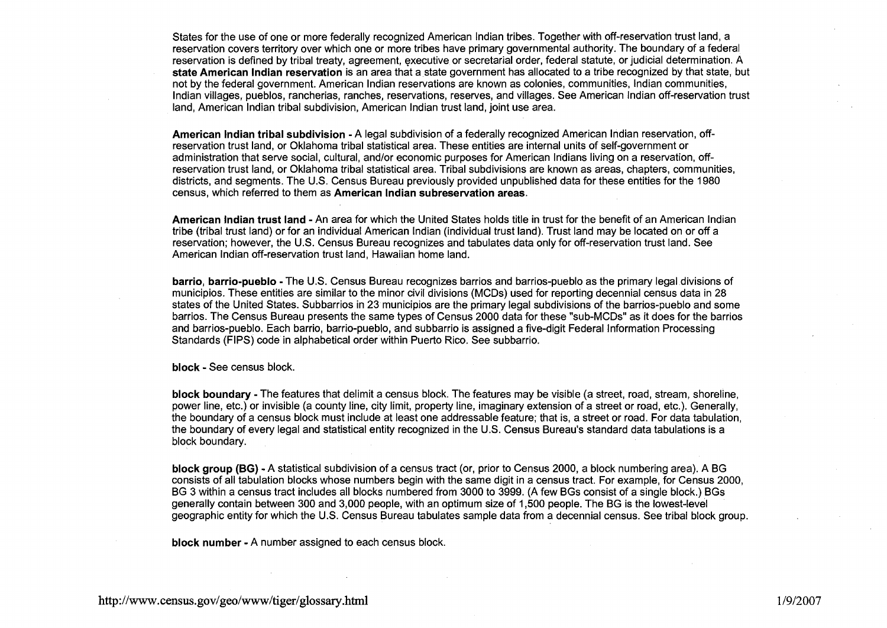States for the use of one or more federally recognized American lndian tribes. Together with off-reservation trust land, a reservation covers territory over which one or more tribes have primary governmental authority. The boundary of a federal reservation is defined by tribal treaty, agreement, executive or secretarial order, federal statute, or judicial determination. A **state American lndian reservation** is an area that a state government has allocated to a tribe recognized by that state, but not by the federal government. American lndian reservations are known as colonies, communities, lndian communities, lndian villages, pueblos, rancherias, ranches, reservations, reserves, and villages. See American lndian off-reservation trust land, American lndian tribal subdivision, American lndian trust land, joint use area.

**American lndian tribal subdivision** -A legal subdivision of a federally recognized American lndian reservation, offreservation trust land, or Oklahoma tribal statistical area. These entities are internal units of self-government or administration that serve social, cultural, and/or economic purposes for American Indians living on a reservation, offreservation trust land, or Oklahoma tribal statistical area. Tribal subdivisions are known as areas, chapters, communities, districts, and segments. The U.S. Census Bureau previously provided unpublished data for these entities for the 1980 census, which referred to them as **American lndian subreservation areas.** 

**American lndian trust land** -An area for which the United States holds title in trust for the benefit of an American lndian tribe (tribal trust land) or for an individual American lndian (individual trust land). Trust land may be located on or off a reservation; however, the U.S. Census Bureau recognizes and tabulates data only for off-reservation trust land. See American lndian off-reservation trust land, Hawaiian home land.

**barrio, barrio-pueblo** - The U.S. Census Bureau recognizes barrios and barrios-pueblo as the primary legal divisions of municipios. These entities are similar to the minor civil divisions (MCDs) used for reporting decennial census data in 28 states of the United States. Subbarrios in 23 municipios are the primary legal subdivisions of the barrios-pueblo and some barrios. The Census Bureau presents the same types of Census 2000 data for these "sub-MCDs" as it does for the barrios and barrios-pueblo. Each barrio, barrio-pueblo, and subbarrio is assigned a five-digit Federal Information Processing Standards (FIPS) code in alphabetical order within Puerto Rico. See subbarrio.

**block** - See census block.

**block boundary** - The features that delimit a census block. The features may be visible (a street, road, stream, shoreline, power line, etc.) or invisible (a county line, city limit, property line, imaginary extension of a street or road, etc.). Generally, the boundary of a census block must include at least one addressable feature; that is, a street or road. For data tabulation, the boundary of every legal and statistical entity recognized in the U.S. Census Bureau's standard data tabulations is a block boundary.

**block group (BG)** -A statistical subdivision of a census tract (or, prior to Census 2000, a block numbering area). A BG consists of all tabulation blocks whose numbers begin with the same digit in a census tract. For example, for Census 2000, BG 3 within a census tract includes all blocks numbered from 3000 to 3999. (A few BGs consist of a single block.) BGs generally contain between 300 and 3,000 people, with an optimum size of 1,500 people. The BG is the lowest-level geographic entity for which the U.S. Census Bureau tabulates sample data from a decennial census. See tribal block group.

**block number** - A number assigned to each census block.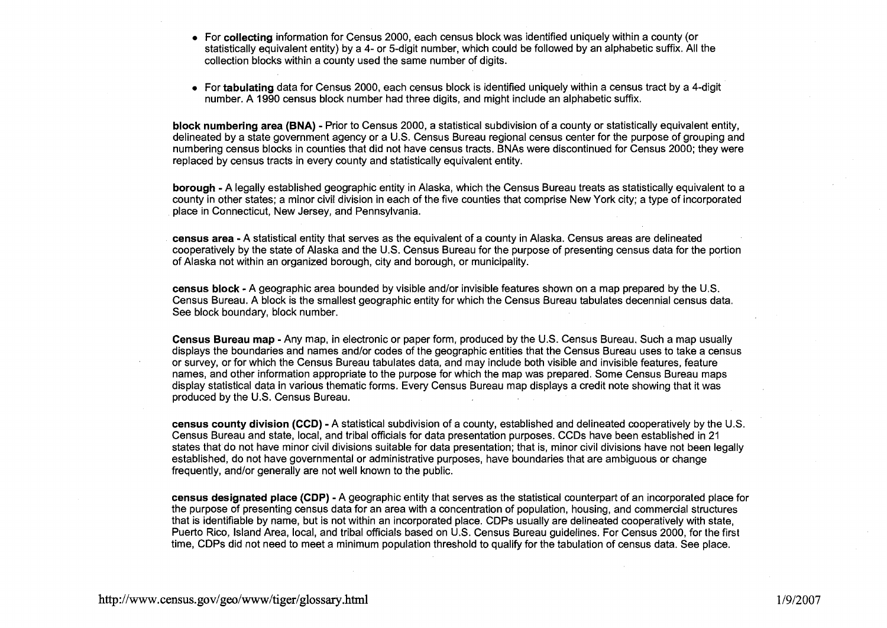- For **collecting** information for Census 2000, each census block was identified uniquely within a county (or statistically equivalent entity) by a 4- or 5-digit number, which could be followed by an alphabetic suffix. All the collection blocks within a county used the same number of digits.
- For **tabulating** data for Census 2000, each census block is identified uniquely within a census tract by a 4-digit number. A 1990 census block number had three digits, and might include an alphabetic suffix.

**block numbering area (BNA)** - Prior to Census 2000, a statistical subdivision of a county or statistically equivalent entity, delineated by a state government agency or a U.S. Census Bureau regional census center for the purpose of grouping and numbering census blocks in counties that did not have census tracts. BNAs were discontinued for Census 2000; they were replaced by census tracts in every county and statistically equivalent entity.

**borough** - A legally established geographic entity in Alaska, which the Census Bureau treats as statistically equivalent to a county in other states; a minor civil division in each of the five counties that comprise New York city; a type of incorporated place in Connecticut, New Jersey, and Pennsylvania.

**census area** - A statistical entity that serves as the equivalent of a county in Alaska. Census areas are delineated cooperatively by the state of Alaska and the U.S. Census Bureau for the purpose of presenting census data for the portion of Alaska not within an organized borough, city and borough, or municipality.

**census block** - A geographic area bounded by visible and/or invisible features shown on a map prepared by the U.S. Census Bureau. A block is the smallest geographic entity for which the Census Bureau tabulates decennial census data. See block boundary, block number.

**Census Bureau map** - Any map, in electronic or paper form, produced by the U.S. Census Bureau. Such a map usually displays the boundaries and names and/or codes of the geographic entities that the Census Bureau uses to take a census or survey, or for which the Census Bureau tabulates data, and may include both visible and invisible features, feature names, and other information appropriate to the purpose for which the map was prepared. Some Census Bureau maps display statistical data in various thematic forms. Every Census Bureau map displays a credit note showing that it was produced by the U.S. Census Bureau.

**census county division (CCD)** - A statistical subdivision of a county, established and delineated cooperatively by the U.S. Census Bureau and state, local, and tribal officials for data presentation purposes. CCDs have been established in 21 states that do not have minor civil divisions suitable for data presentation; that is, minor civil divisions have not been legally established, do not have governmental or administrative purposes, have boundaries that are ambiguous or change frequently, and/or generally are not well known to the public.

**census designated place (CDP)** - A geographic entity that serves as the statistical counterpart of an incorporated place for the purpose of presenting census data for an area with a concentration of population, housing, and commercial structures that is identifiable by name, but is not within an incorporated place. CDPs usually are delineated cooperatively with state, Puerto Rico, Island Area, local, and tribal officials based on U.S. Census Bureau guidelines. For Census 2000, for the first time, CDPs did not need to meet a minimum population threshold to qualify for the tabulation of census data. See place.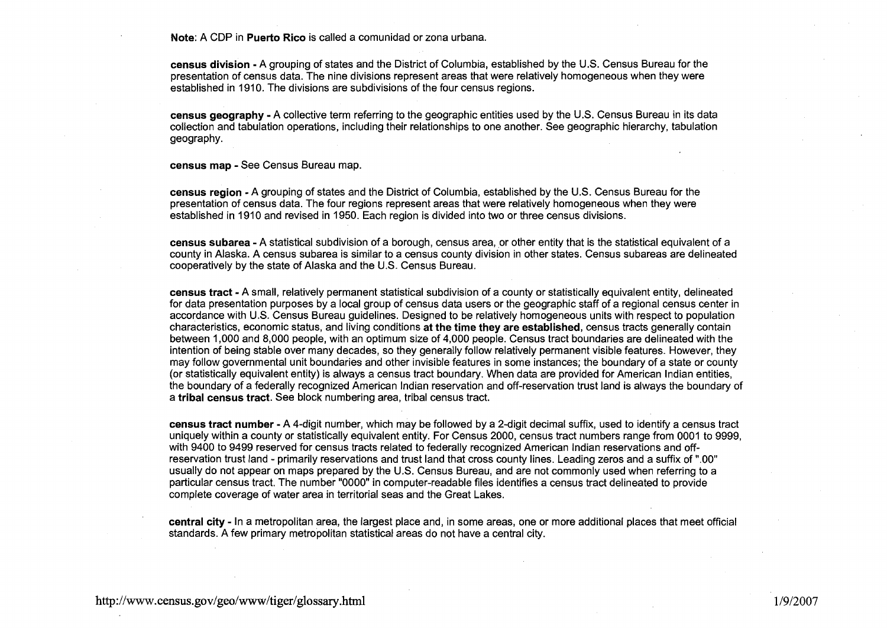**Note: A** CDP in **Puerto Rico** is called a comunidad or zona urbana.

**census division** - A grouping of states and the District of Columbia, established by the U.S. Census Bureau for the presentation of census data. The nine divisions represent areas that were relatively homogeneous when they were established in 1910. The divisions are subdivisions of the four census regions.

**census geography** - **A** collective term referring to the geographic entities used by the U.S. Census Bureau in its data collection and tabulation operations, including their relationships to one another. See geographic hierarchy, tabulation geography.

**census map** - See Census Bureau map.

**census region** - **A** grouping of states and the District of Columbia, established by the U.S. Census Bureau for the presentation of census data. The four regions represent areas that were relatively homogeneous when they were established in 1910 and revised in 1950. Each region is divided into two or three census divisions.

**census subarea** - **A** statistical subdivision of a borough, census area, or other entity that is the statistical equivalent of a county in Alaska. A census subarea is similar to a census county division in other states. Census subareas are delineated cooperatively by the state of Alaska and the U.S. Census Bureau.

**census tract** - A small, relatively permanent statistical subdivision of a county or statistically equivalent entity, delineated for data presentation purposes by a local group of census data users or the geographic staff of a regional census center in accordance with U.S. Census Bureau guidelines. Designed to be relatively homogeneous units with respect to population characteristics, economic status, and living conditions **at the time they are established,** census tracts generally contain between 1,000 and 8,000 people, with an optimum size of 4,000 people. Census tract boundaries are delineated with the intention of being stable over many decades, so they generally follow relatively permanent visible features. However, they may follow governmental unit boundaries and other invisible features in some instances; the boundary of a state or county (or statistically equivalent entity) is always a census tract boundary. When data are provided for American lndian entities, the boundary of a federally recognized American lndian reservation and off-reservation trust land is always the boundary of a **tribal census tract.** See block numbering area, tribal census tract.

**census tract number** - A 4-digit number, which may be followed by a 2-digit decimal suffix, used to identify a census tract uniquely within a county or statistically equivalent entity. For Census 2000, census tract numbers range from 0001 to 9999, with 9400 to 9499 reserved for census tracts related to federally recognized American lndian reservations and offreservation trust land - primarily reservations and trust land that cross county lines. Leading zeros and a suffix of ".00" usually do not appear on maps prepared by the U.S. Census Bureau, and are not commonly used when referring to a particular census tract. The number "0000" in computer-readable files identifies a census tract delineated to provide complete coverage of water area in territorial seas and the Great Lakes.

**central city** - In a metropolitan area, the largest place and, in some areas, one or more additional places that meet official standards. A few primary metropolitan statistical areas do not have a central city.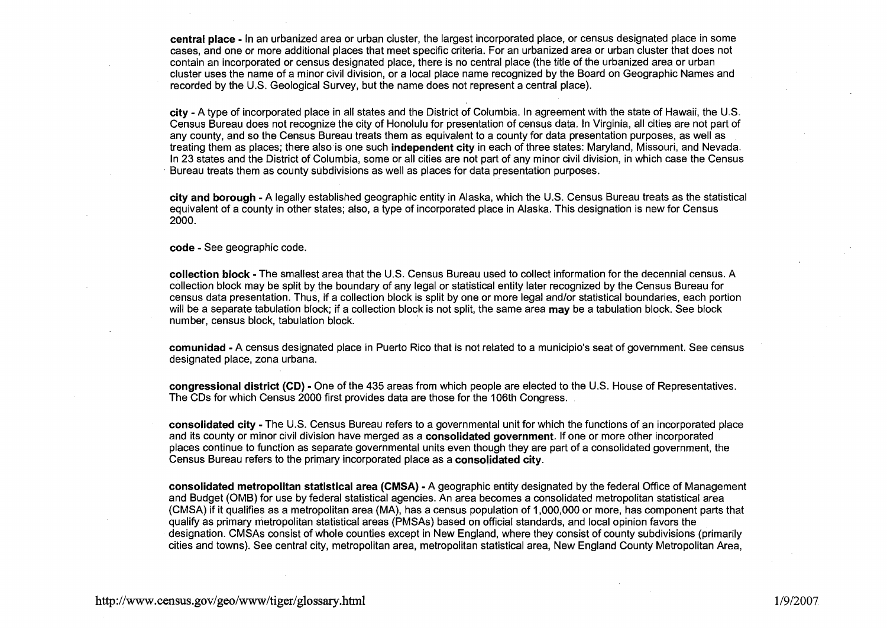**central place** - In an urbanized area or urban cluster, the largest incorporated place, or census designated place in some cases, and one or more additional places that meet specific criteria. For an urbanized area or urban cluster that does not contain an incorporated or census designated place, there is no central place (the title of the urbanized area or urban cluster uses the name of a minor civil division, or a local place name recognized by the Board on Geographic Names and recorded by the U.S. Geological Survey, but the name does not represent a central place).

**city** - A type of incorporated place in all states and the District of Columbia. In agreement with the state of Hawaii, the U.S. Census Bureau does not recognize the city of Honolulu for presentation of census data. In Virginia, all cities are not part of any county, and so the Census Bureau treats them as equivalent to a county for data presentation purposes, as well as treating them as places; there also is one such **independent city** in each of three states: Maryland, Missouri, and Nevada. In 23 states and the District of Columbia, some or all cities are not part of any minor civil division, in which case the Census Bureau treats them as county subdivisions as well as places for data presentation purposes.

**city and borough** - A legally established geographic entity in Alaska, which the U.S. Census Bureau treats as the statistical equivalent of a county in other states; also, a type of incorporated place in Alaska. This designation is new for Census 2000.

#### **code** - See geographic code.

**collection block** -The smallest area that the U.S. Census Bureau used to collect information for the decennial census. A collection block may be split by the boundary of any legal or statistical entity later recognized by the Census Bureau for census data presentation. Thus, if a collection block is split by one or more legal and/or statistical boundaries, each portion will be a separate tabulation block; if a collection block is not split, the same area **may** be a tabulation block. See block number, census block, tabulation block.

**comunidad** -A census designated place in Puerto Rico that is not related to a municipio's seat of government. See census designated place, zona urbana.

**congressional district (CD)** - One of the 435 areas from which people are elected to the U.S. House of Representatives The CDs for which Census 2000 first provides data are those for the 106th Congress.

**consolidated city** - The U.S. Census Bureau refers to a governmental unit for which the functions of an incorporated place and its county or minor civil division have merged as a **consolidated government.** If one or more other incorporated places continue to function as separate governmental units even though they are part of a consolidated government, the Census Bureau refers to the primary incorporated place as a **consolidated city.** 

**consolidated metropolitan statistical area (CMSA)** - A geographic entity designated by the federal Office of Management and Budget (OMB) for use by federal statistical agencies. An area becomes a consolidated metropolitan statistical area (CMSA) if it qualifies as a metropolitan area (MA), has a census population of 1,000,000 or more, has component parts that qualify as primary metropolitan statistical areas (PMSAs) based on official standards, and local opinion favors the designation. CMSAs consist of whole counties except in New England, where they consist of county subdivisions (primarily cities and towns). See central city, metropolitan area, metropolitan statistical area, New England County Metropolitan Area,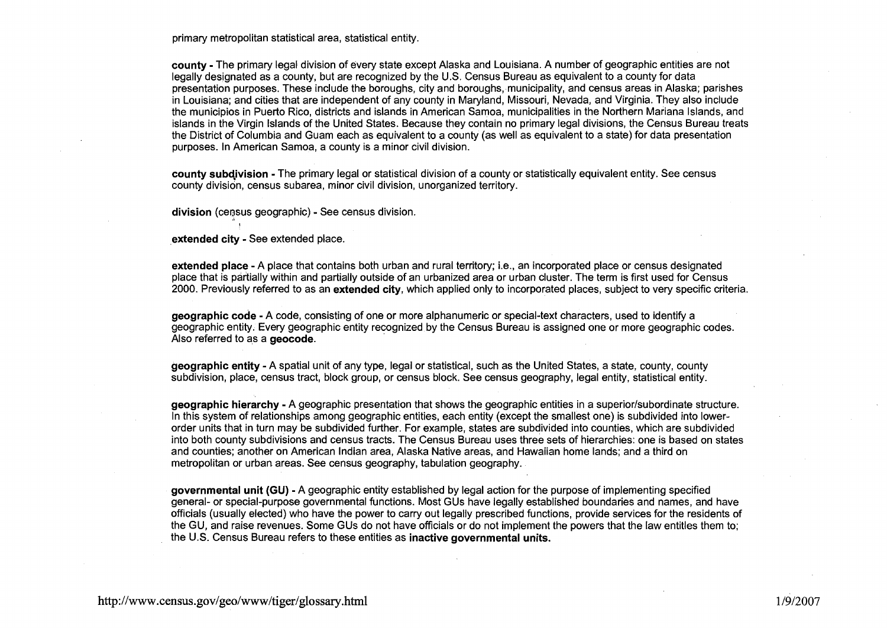primary metropolitan statistical area, statistical entity.

**county** - The primary legal division of every state except Alaska and Louisiana. A number of geographic entities are not legally designated as a county, but are recognized by the U.S. Census Bureau as equivalent to a county for data presentation purposes. These include the boroughs, city and boroughs, municipality, and census areas in Alaska; parishes in Louisiana; and cities that are independent of any county in Maryland, Missouri, Nevada, and Virginia. They also include the municipios in Puerto Rico, districts and islands in American Samoa, municipalities in the Northern Mariana Islands, and islands in the Virgin Islands of the United States. Because they contain no primary legal divisions, the Census Bureau treats the District of Columbia and Guam each as equivalent to a county (as well as equivalent to a state) for data presentation purposes. In American Samoa, a county is a minor civil division.

**county subdivision -** The primary legal or statistical division of a county or statistically equivalent entity. See census county division, census subarea, minor civil division, unorganized territory.

division (census geographic) - See census division.

**,extended city** - See extended place.

!

**extended place** -A place that contains both urban and rural territory; i.e., an incorporated place or census designated place that is partially within and partially outside of an urbanized area or urban cluster. The term is first used for Census 2000. Previously referred to as an **extended city,** which applied only to incorporated places, subject to very specific criteria.

**geographic code** - A code, consisting of one or more alphanumeric or special-text characters, used to identify a geographic entity. Every geographic entity recognized by the Census Bureau is assigned one or more geographic codes. Also referred to as a **geocode.** 

**geographic entity** - A spatial unit of any type, legal or statistical, such as the United States, a state, county, county subdivision, place, census tract, block group, or census block. See census geography, legal entity, statistical entity.

**geographic hierarchy** - A geographic presentation that shows the geographic entities in a superior/subordinate structure. In this system of relationships among geographic entities, each entity (except the smallest one) is subdivided into lowerorder units that in turn may be subdivided further. For example, states are subdivided into counties, which are subdivided into both county subdivisions and census tracts. The Census Bureau uses three sets of hierarchies: one is based on states and counties; another on American Indian area, Alaska Native areas, and Hawaiian home lands; and a third on metropolitan or urban areas. See census geography, tabulation geography.

**governmental unit (GU)** - A geographic entity established by legal action for the purpose of implementing specified general- or special-purpose governmental functions. Most GUS have legally established boundaries and names, and have officials (usually elected) who have the power to carry out legally prescribed functions, provide services for the residents of the GU, and raise revenues. Some GUS do not have officials or do not implement the powers that the law entitles them to; the U.S. Census Bureau refers to these entities as **inactive governmental units.**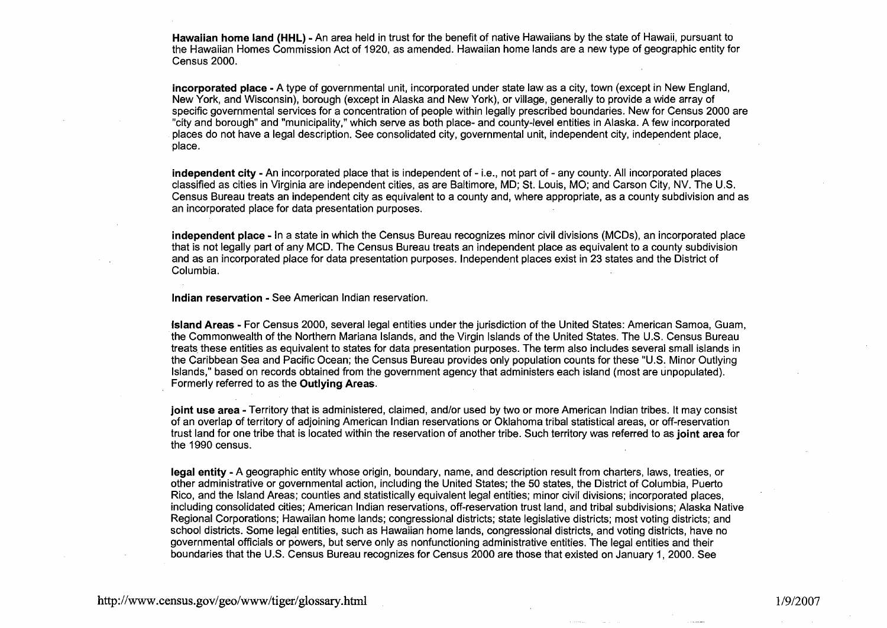**Hawaiian home land (HHL)** -An area held in trust for the benefit of native Hawaiians by the state of Hawaii, pursuant to the Hawaiian Homes Commission Act of 1920, as amended. Hawaiian home lands are a new type of geographic entity for Census 2000.

**incorporated place** -A type of governmental unit, incorporated under state law as a city, town (except in New England, New York, and Wisconsin), borough (except in Alaska and New York), or village, generally to provide a wide array of specific governmental services for a concentration of people within legally prescribed boundaries. New for Census 2000 are "city and borough" and "municipality," which serve as both place- and county-level entities in Alaska. A few incorporated places do not have a legal description. See consolidated city, governmental unit, independent city, independent place, place.

**independent city** - An incorporated place that is independent of - i.e., not part of - any county. All incorporated places classified as cities in Virginia are independent cities, as are Baltimore, MD; St. Louis, MO; and Carson City, NV. The U.S. Census Bureau treats an independent city as equivalent to a county and, where appropriate, as a county subdivision and as an incorporated place for data presentation purposes.

**independent place** - In a state in which the Census Bureau recognizes minor civil divisions (MCDs), an incorporated place that is not legally part of any MCD. The Census Bureau treats an independent place as equivalent to a county subdivision and as an incorporated place for data presentation purposes. Independent places exist in 23 states and the District of Columbia.

**lndian reservation** - See American lndian reservation.

**Island Areas** - For Census 2000, several legal entities under the jurisdiction of the United States: American Samoa, Guam, the Commonwealth of the Northern Mariana Islands, and the Virgin Islands of the United States. The U.S. Census Bureau treats these entities as equivalent to states for data presentation purposes. The term also includes several small islands in the Caribbean Sea and Pacific Ocean; the Census Bureau provides only population counts for these "U.S. Minor Outlying Islands," based on records obtained from the government agency that administers each island (most are unpopulated). Formerly referred to as the **Outlying Areas.** 

**joint use area - Territory that is administered, claimed, and/or used by two or more American Indian tribes. It may consist** of an overlap of territory of adjoining American lndian reservations or Oklahoma tribal statistical areas, or off-reservation trust land for one tribe that is located within the reservation of another tribe. Such territory was referred to as **joint area** for the 1990 census.

**legal entity** -A geographic entity whose origin, boundary, name, and description result from charters, laws, treaties, or other administrative or governmental action, including the United States; the 50 states, the District of Columbia, Puerto Rico, and the Island Areas; counties and statistically equivalent legal entities; minor civil divisions; incorporated places, including consolidated cities; American lndian reservations, off-reservation trust land, and tribal subdivisions; Alaska Native Regional Corporations; Hawaiian home lands; congressional districts; state legislative districts; most voting districts; and school districts. Some legal entities, such as Hawaiian home lands, congressional districts, and voting districts, have no governmental officials or powers, but serve only as nonfunctioning administrative entities. The legal entities and their boundaries that the U.S. Census Bureau recognizes for Census 2000 are those that existed on January 1,2000. See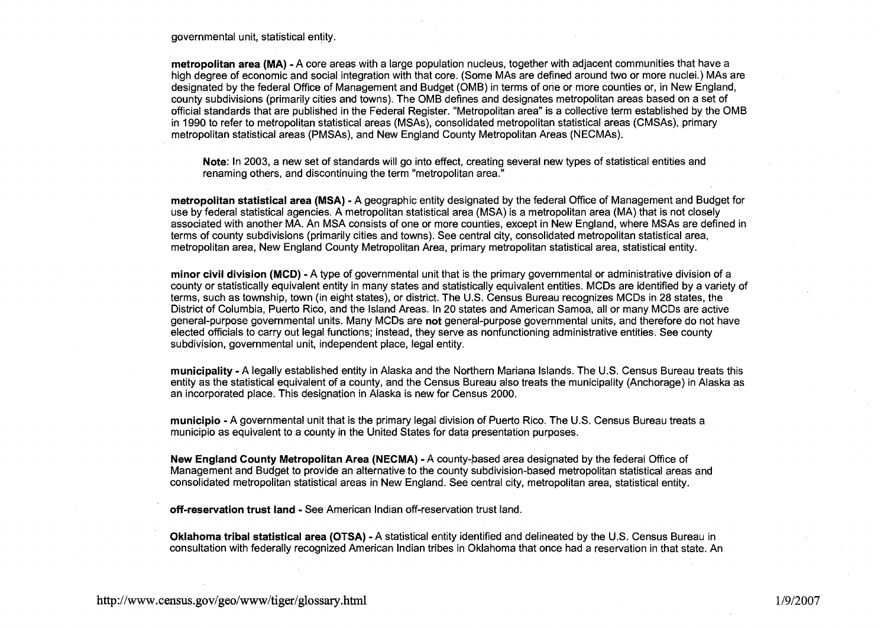governmental unit, statistical entity.

**metropolitan area (MA)** -A core areas with a large population nucleus, together with adjacent communities that have a high degree of economic and social integration with that core. (Some MAS are defined around two or more nuclei.) MAS are designated by the federal Office of Management and Budget (OMB) in terms of one or more counties or, in New England, county subdivisions (primarily cities and towns). The OMB defines and designates metropolitan areas based on a set of official standards that are published in the Federal Register. "Metropolitan area" is a collective term established by the OMB in 1990 to refer to metropolitan statistical areas (MSAs), consolidated metropolitan statistical areas (CMSAs), primary metropolitan statistical areas (PMSAs), and New England County Metropolitan Areas (NECMAs).

**Note:** In 2003, a new set of standards will go into effect, creating several new types of statistical entities and renaming others, and discontinuing the term "metropolitan area."

**metropolitan statistical area (MSA)** - A geographic entity designated by the federal Office of Management and Budget for use by federal statistical agencies. A metropolitan statistical area (MSA) is a metropolitan area (MA) that is not closely associated with another MA. An MSA consists of one or more counties, except in New England, where MSAs are defined in terms of county subdivisions (primarily cities and towns). See central city, consolidated metropolitan statistical area, metropolitan area, New England County Metropolitan Area, primary metropolitan statistical area, statistical entity.

**minor civil division (MCD)** - A type of governmental unit that is the primary governmental or administrative division of a county or statistically equivalent entity in many states and statistically equivalent entities. MCDs are identified by a variety of terms, such as township, town (in eight states), or district. The U.S. Census Bureau recognizes MCDs in 28 states, the District of Columbia, Puerto Rico, and the Island Areas. In 20 states and American Samoa, all or many MCDs are active general-purpose governmental units. Many MCDs are **not** general-purpose governmental units, and therefore do not have elected officials to carry out legal functions; instead, they serve as nonfunctioning administrative entities. See county subdivision, governmental unit, independent place, legal entity.

**municipality** - A legally established entity in Alaska and the Northern Mariana Islands. The U.S. Census Bureau treats this entity as the statistical equivalent of a county, and the Census Bureau also treats the municipality (Anchorage) in Alaska as an incorporated place. This designation in Alaska is new for Census 2000.

**municipio** -A governmental unit that is the primary legal division of Puerto Rico. The U.S. Census Bureau treats a municipio as equivalent to a county in the United States for data presentation purposes.

**New England County Metropolitan Area (NECMA) - A county-based area designated by the federal Office of** Management and Budget to provide an alternative to the county subdivision-based metropolitan statistical areas and consolidated metropolitan statistical areas in New England. See central city, metropolitan area, statistical entity.

**off-reservation trust land** - See American Indian off-reservation trust land.

**Oklahoma tribal statistical area (OTSA)** -A statistical entity identified and delineated by the U.S. Census Bureau in consultation with federally recognized American Indian tribes in Oklahoma that once had a reservation in that state. An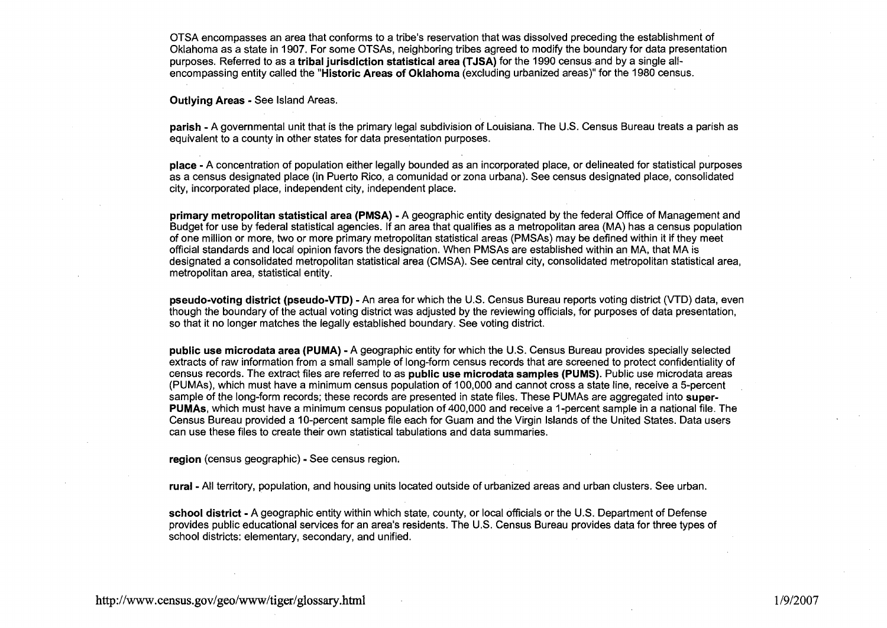OTSA encompasses an area that conforms to a tribe's reservation that was dissolved preceding the establishment of Oklahoma as a state in 1907. For some OTSAs, neighboring tribes agreed to modify the boundary for data presentation purposes. Referred to as a **tribal jurisdiction statistical area (TJSA)** for the 1990 census and by a single allencompassing entity called the **"Historic Areas of Oklahoma** (excluding urbanized areas)" for the 1980 census.

**Outlying Areas** - See Island Areas.

**parish** - A governmental unit that is the primary legal subdivision of Louisiana. The U.S. Census Bureau treats a parish as equivalent to a county in other states for data presentation purposes.

**place** - A concentration of population either legally bounded as an incorporated place, or delineated for statistical purposes as a census designated place (in Puerto Rico, a comunidad or zona urbana). See census designated place, consolidated city, incorporated place, independent city, independent place.

**primary metropolitan statistical area (PMSA)** - A geographic entity designated by the federal Office of Management and Budget for use by federal statistical agencies. If an area that qualifies as a metropolitan area (MA) has a census population of one million or more, two or more primary metropolitan statistical areas (PMSAs) may be defined within it if they meet official standards and local opinion favors the designation. When PMSAs are established within an MA, that MA is designated a consolidated metropolitan statistical area (CMSA). See central city, consolidated metropolitan statistical area, metropolitan area, statistical entity.

**pseudo-voting district (pseudo-VTD)** - An area for which the U.S. Census Bureau reports voting district (VTD) data, even though the boundary of the actual voting district was adjusted by the reviewing officials, for purposes of data presentation, so that it no longer matches the legally established boundary. See voting district.

**public use microdata area (PUMA)** - **A** geographic entity for which the U.S. Census Bureau provides specially selected extracts of raw information from a small sample of long-form census records that are screened to protect confidentiality of census records. The extract files are referred to as **public use microdata samples (PUMS).** Public use microdata areas (PUMAs), which must have a minimum census population of 100,000 and cannot cross a state line, receive a 5-percent sample of the long-form records; these records are presented in state files. These PUMAs are aggregated into **super-PUMAs,** which must have a minimum census population of 400,000 and receive a I-percent sample in a national file. The Census Bureau provided a 10-percent sample file each for Guam and the Virgin Islands of the United States. Data users can use these files to create their own statistical tabulations and data summaries.

**region** (census geographic) - See census region;

**rural** - All territory, population, and housing units located outside of urbanized areas and urban clusters. See urban.

**school district** - **A** geographic entity within which state, county, or local officials or the U.S. Department of Defense provides public educational services for an area's residents. The U.S. Census Bureau provides data for three types of school districts: elementary, secondary, and unified.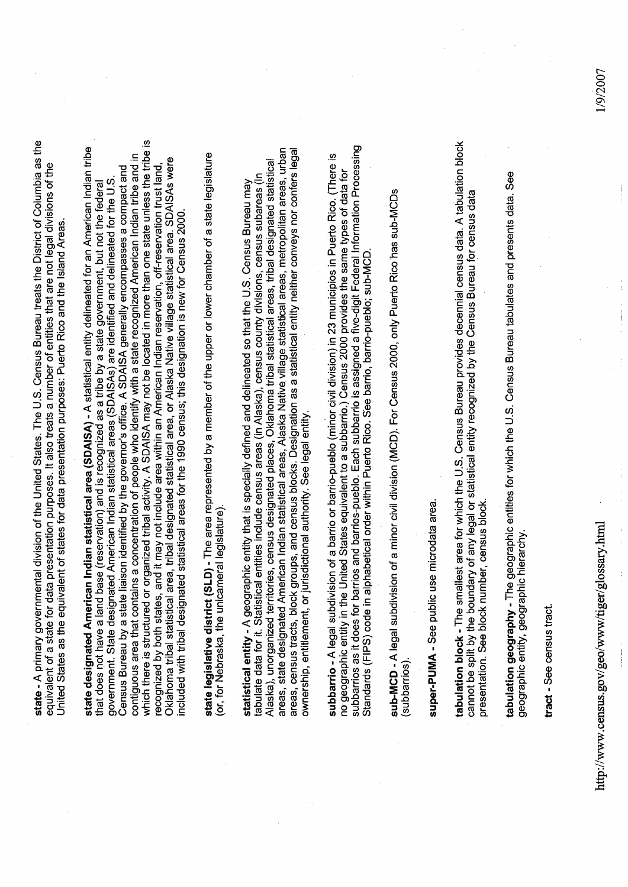state - A primary governmental division of the United States. The U.S. Census Bureau treats the District of Columbia as the equivalent of a state for data presentation purposes. It also treats a number of entities that are not legal divisions of the United States as the equivalent of states for data presentation purposes: Puerto Rico and the Island Areas.

which there is structured or organized tribal activity. A SDAISA may not be located in more than one state unless the tribe is state designated American Indian statistical area (SDAISA) - A statistical entity delineated for an American Indian tribe contiguous area that contains a concentration of people who identify with a state recognized American Indian tribe and in Oklahoma tribal statistical area, tribal designated statistical area, or Alaska Native village statistical area. SDAISAs were recognized by both states, and it may not include area within an American Indian reservation, off-reservation trust land Census Bureau by a state liaison identified by the governor's office. A SDAISA generally encompasses a compact and that does not have a land base (reservation) and is recognized as a tribe by a state government, but not the federal<br>government. State designated American Indian statistical areas (SDAISAs) are identified and delineated fo included with tribal designated statistical areas for the 1990 census; this designation is new for Census 2000.

state legislative district (SLD) - The area represented by a member of the upper or lower chamber of a state legislature (or, for Nebraska, the unicameral legislature)

areas, census tracts, block groups, and census blocks. Designation as a statistical entity neither conveys nor confers legal areas, state designated American Indian statistical areas, Alaska Native village statistical areas, metropolitan areas, urban Alaska), unorganized territories, census designated places, Oklahoma tribal statistical areas, tribal designated statistical statistical entity - A geographic entity that is specially defined and delineated so that the U.S. Census Bureau may<br>tabulate data for it. Statistical entities include census areas (in Alaska), census county divisions, cen ownership, entitlement, or jurisdictional authority. See legal entity.

subbarrios as it does for barrios and barrios-pueblo. Each subbarrio is assigned a five-digit Federal Information Processing<br>Standards (FIPS) code in alphabetical order within Puerto Rico. See barrio, barrio-pueblo; sub-MC subbarrio - A legal subdivision of a barrio or barrio-pueblo (minor civil division) in 23 municipios in Puerto Rico. (There is no geographic entity in the United States equivalent to a subbarrio.) Census 2000 provides the same types of data for

sub-MCD - A legal subdivision of a minor civil division (MCD). For Census 2000, only Puerto Rico has sub-MCDs (subbarrios)

super-PUMA - See public use microdata area.

tabulation block - The smallest area for which the U.S. Census Bureau provides decennial census data. A tabulation block<br>cannot be split by the boundary of any legal or statistical entity recognized by the Census Bureau fo presentation. See block number, census block.

tabulation geography - The geographic entities for which the U.S. Census Bureau tabulates and presents data. See<br>geographic entity, geographic hierarchy.

tract - See census tract.

http://www.census.gov/geo/www/tiger/glossary.html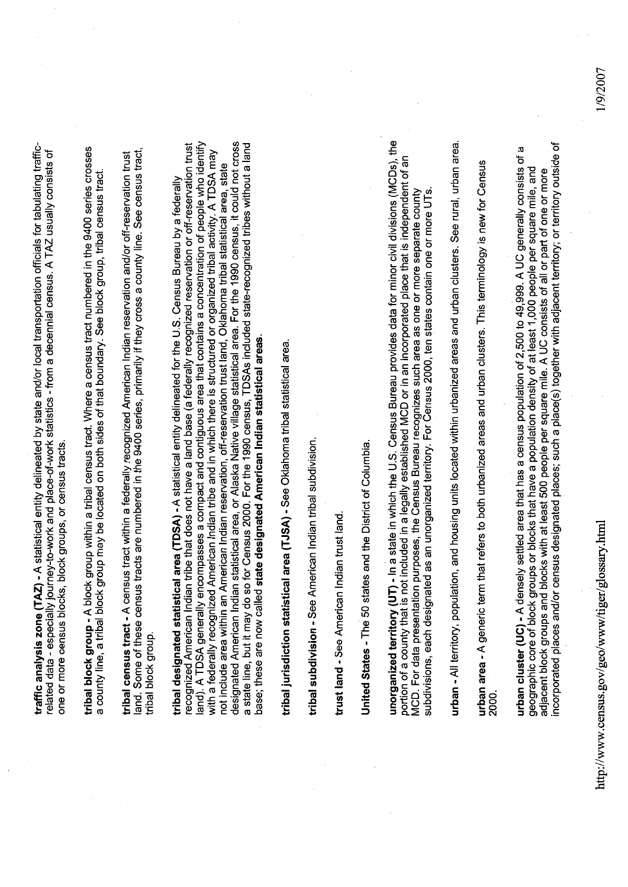traffic analysis zone (TAZ) - A statistical entity delineated by state and/or local transportation officials for tabulating trafficrelated data - especially journey-to-work and place-of-work statistics - from a decennial census. A TAZ usually consists of one or more census blocks, block groups, or census tracts. tribal block group - A block group within a tribal census tract. Where a census tract numbered in the 9400 series crosses a county line, a tribal block group may be located on both sides of that boundary. See block group, tribal census tract.

land. Some of these census tracts are numbered in the 9400 series, primarily if they cross a county line. See census tract, tribal census tract - A census tract within a federally recognized American Indian reservation and/or off-reservation trust tribal block group.

land). A TDSA generally encompasses a compact and contiguous area that contains a concentration of people who identify designated American Indian statistical area, or Alaska Native village statistical area. For the 1990 census, it could not cross a state line, but it may do so for Census 2000. For the 1990 census, TDSAs included state-recognized tribes without a land recognized American Indian tribe that does not have a land base (a federally recognized reservation or off-reservation trust with a federally recognized American Indian tribe and in which there is structured or organized tribal activity. A TDSA may not include area within an American Indian reservation, off-reservation trust land, Oklahoma tribal statistical area, state tribal designated statistical area (TDSA) - A statistical entity delineated for the U.S. Census Bureau by a federally base; these are now called state designated American Indian statistical areas.

tribal jurisdiction statistical area (TJSA) - See Oklahoma tribal statistical area.

tribal subdivision - See American Indian tribal subdivision.

trust land - See American Indian trust land.

United States - The 50 states and the District of Columbia.

unorganized territory (UT) - In a state in which the U.S. Census Bureau provides data for minor civil divisions (MCDs), the portion of a county that is not included in a legally established MCD or in an incorporated place that is independent of an MCD. For data presentation purposes, the Census Bureau recognizes such area as one or more separate county subdivisions, each designated as an unorganized territory. For Census 2000, ten states contain one or more UTs.

urban - All territory, population, and housing units located within urbanized areas and urban clusters. See rural, urban area.

urban area - A generic term that refers to both urbanized areas and urban clusters. This terminology is new for Census 2000.

incorporated places and/or census designated places; such a place(s) together with adjacent territory; or territory outside of urban cluster (UC) - A densely settled area that has a census population of 2,500 to 49,999. A UC generally consists of a geographic core of block groups or blocks that have a population density of at least 1,000 people per square mile, and adjacent block groups and blocks with at least 500 people per square mile. A UC consists of all or part of one or more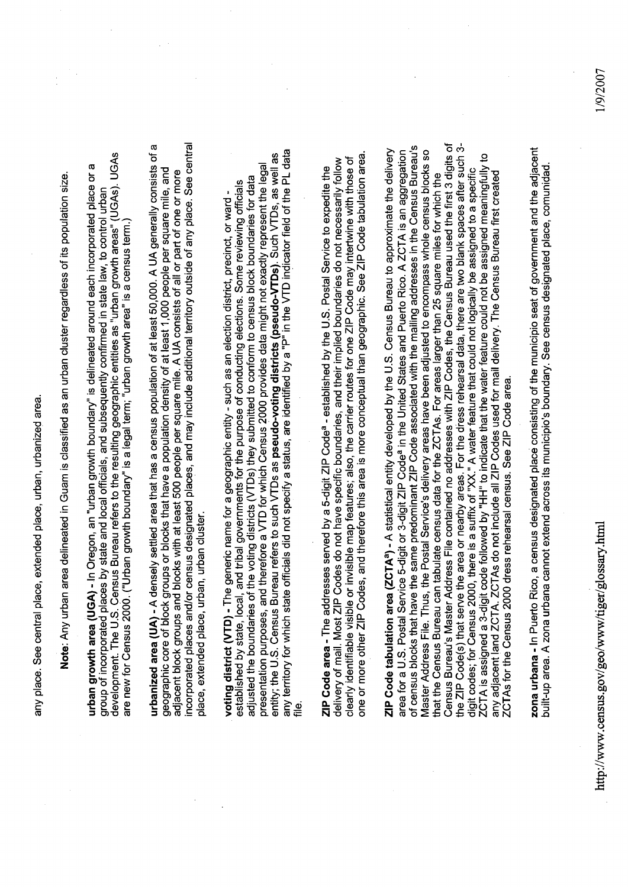any place. See central place, extended place, urban, urbanized area.

Note: Any urban area delineated in Guam is classified as an urban cluster regardless of its population size.

development. The U.S. Census Bureau refers to the resulting geographic entities as "urban growth areas" (UGAs). UGAs urban growth area (UGA) - In Oregon, an "urban growth boundary" is delineated around each incorporated place or a group of incorporated places by state and local officials, and subsequently confirmed in state law, to control urban are new for Census 2000. ("Urban growth boundary" is a legal term; "urban growth area" is a census term.

incorporated places and/or census designated places, and may include additional territory outside of any place. See central urbanized area (UA) - A densely settled area that has a census population of at least 50,000. A UA generally consists of a geographic core of block groups or blocks that have a population density of at least 1,000 people per square mile, and adjacent block groups and blocks with at least 500 people per square mile. A UA consists of all or part of one or more place, extended place, urban, urban cluster.

présentation purposes, and therefore a VTD for which Census 2000 provides data might not exactly represent the legal<br>entity; the U.S. Census Bureau refers to such VTDs as **pseudo-voting districts (pseudo-VTDs**). Such VTDs, adjusted the boundaries of the voting districts (VTDs) they submitted to conform to census block boundaries for data established by state, local, and tribal governments for the purpose of conducting elections. Some reviewing officials voting district (VTD) - The generic name for a geographic entity - such as an election district, precinct, or ward -

one or more other ZIP Codes, and therefore this area is more conceptual than geographic. See ZIP Code tabulation area. delivery of mail. Most ZIP Codes do not have specific boundaries, and their implied boundaries do not necessarily follow clearly identifiable visible or invisible map features; also, the carrier routes for one ZIP Code may intertwine with those of ZIP Code area - The addresses served by a 5-digit ZIP Code<sup>a</sup> - established by the U.S. Postal Service to expedite the

Census Bureau's Master Address File contained no addresses with ZIP Codes, the Census Bureau used the first 3 digits of the ZIP Code(s) that serve the area or nearby areas. For the dress rehearsal data, there are two blank spaces after such 3of census blocks that have the same predominant ZIP Code associated with the mailing addresses in the Census Bureau's ZIP Code tabulation area (ZCTAª) - A statistical entity developed by the U.S. Census Bureau to approximate the delivery area for a U.S. Postal Service 5-digit or 3-digit ZIP Code<sup>a</sup> in the United States and Puerto Rico. A ZCTA is an aggregation Master Address File. Thus, the Postal Service's delivery areas have been adjusted to encompass whole census blocks so ZCTA is assigned a 3-digit code followed by "HH" to indicate that the water feature could not be assigned meaningfully to<br>any adjacent land ZCTA. ZCTAs do not include all ZIP Codes used for mail delivery. The Census Bureau digit codes; for Census 2000, there is a suffix of "XX." A water feature that could not logically be assigned to a specific that the Census Bureau can tabulate census data for the ZCTAs. For areas larger than 25 square miles for which the ZCTAs for the Census 2000 dress rehearsal census. See ZIP Code area.

zona urbana - In Puerto Rico, a census designated place consisting of the municipio seat of government and the adjacent built-up area. A zona urbana cannot extend across its municipio's boundary. See census designated place, comunidad